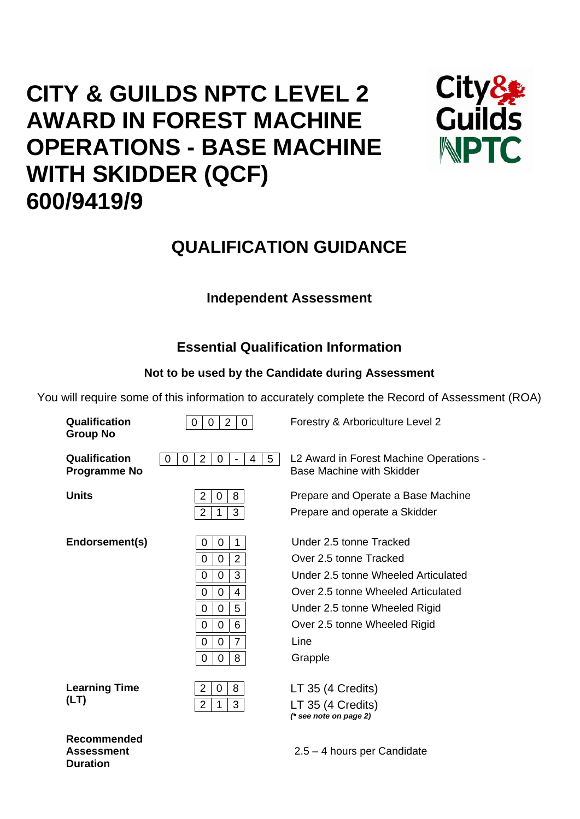# **CITY & GUILDS NPTC LEVEL 2 AWARD IN FOREST MACHINE OPERATIONS - BASE MACHINE WITH SKIDDER (QCF) 600/9419/9**



## **QUALIFICATION GUIDANCE**

## **Independent Assessment**

## **Essential Qualification Information**

## **Not to be used by the Candidate during Assessment**

You will require some of this information to accurately complete the Record of Assessment (ROA)

| Qualification<br><b>Group No</b>     | $\overline{2}$<br>$\mathbf 0$<br>0<br>0                                                                                                                         | Forestry & Arboriculture Level 2                                                                                                                                                                                   |
|--------------------------------------|-----------------------------------------------------------------------------------------------------------------------------------------------------------------|--------------------------------------------------------------------------------------------------------------------------------------------------------------------------------------------------------------------|
| Qualification<br><b>Programme No</b> | $\overline{2}$<br>$5\overline{)}$<br>0<br>0<br>4<br>0<br>$\overline{\phantom{a}}$                                                                               | L2 Award in Forest Machine Operations -<br><b>Base Machine with Skidder</b>                                                                                                                                        |
| <b>Units</b>                         | $\overline{2}$<br>8<br>0<br>$\overline{2}$<br>3<br>1                                                                                                            | Prepare and Operate a Base Machine<br>Prepare and operate a Skidder                                                                                                                                                |
| Endorsement(s)                       | $\mathbf 0$<br>1<br>0<br>$\overline{2}$<br>0<br>0<br>3<br>0<br>0<br>$\mathbf 0$<br>0<br>4<br>5<br>0<br>0<br>6<br>$\mathbf 0$<br>0<br>7<br>0<br>0<br>8<br>0<br>0 | Under 2.5 tonne Tracked<br>Over 2.5 tonne Tracked<br>Under 2.5 tonne Wheeled Articulated<br>Over 2.5 tonne Wheeled Articulated<br>Under 2.5 tonne Wheeled Rigid<br>Over 2.5 tonne Wheeled Rigid<br>Line<br>Grapple |
| <b>Learning Time</b><br>(LT)         | $\overline{c}$<br>0<br>8<br>$\overline{2}$<br>3<br>1                                                                                                            | LT 35 (4 Credits)<br>LT 35 (4 Credits)<br>$(*$ see note on page 2)                                                                                                                                                 |
| <b>Recommended</b>                   |                                                                                                                                                                 |                                                                                                                                                                                                                    |

**Assessment Duration** 

2.5 – 4 hours per Candidate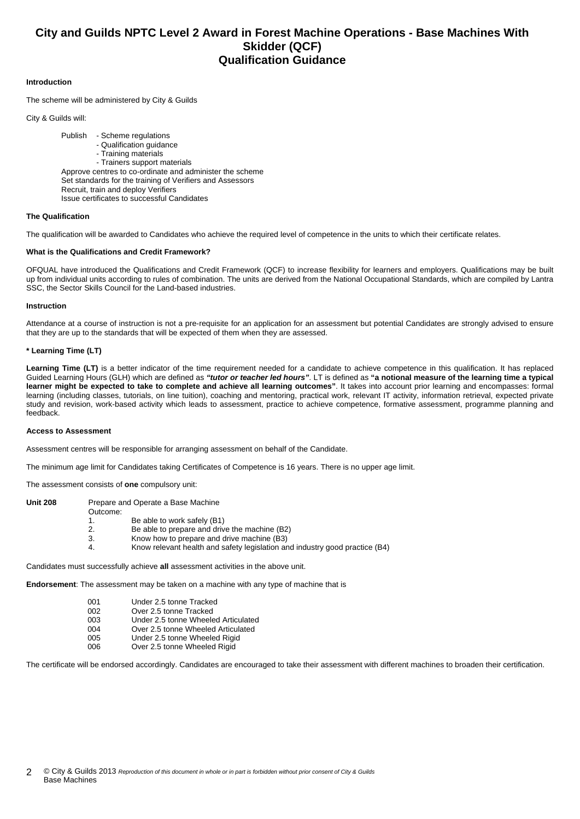### **City and Guilds NPTC Level 2 Award in Forest Machine Operations - Base Machines With Skidder (QCF) Qualification Guidance**

#### **Introduction**

The scheme will be administered by City & Guilds

City & Guilds will:

 Publish - Scheme regulations - Qualification guidance - Training materials - Trainers support materials Approve centres to co-ordinate and administer the scheme Set standards for the training of Verifiers and Assessors Recruit, train and deploy Verifiers Issue certificates to successful Candidates

#### **The Qualification**

The qualification will be awarded to Candidates who achieve the required level of competence in the units to which their certificate relates.

#### **What is the Qualifications and Credit Framework?**

OFQUAL have introduced the Qualifications and Credit Framework (QCF) to increase flexibility for learners and employers. Qualifications may be built up from individual units according to rules of combination. The units are derived from the National Occupational Standards, which are compiled by Lantra SSC, the Sector Skills Council for the Land-based industries.

#### **Instruction**

Attendance at a course of instruction is not a pre-requisite for an application for an assessment but potential Candidates are strongly advised to ensure that they are up to the standards that will be expected of them when they are assessed.

#### **\* Learning Time (LT)**

Learning Time (LT) is a better indicator of the time requirement needed for a candidate to achieve competence in this qualification. It has replaced Guided Learning Hours (GLH) which are defined as *"tutor or teacher led hours"*. LT is defined as **"a notional measure of the learning time a typical learner might be expected to take to complete and achieve all learning outcomes"**. It takes into account prior learning and encompasses: formal learning (including classes, tutorials, on line tuition), coaching and mentoring, practical work, relevant IT activity, information retrieval, expected private study and revision, work-based activity which leads to assessment, practice to achieve competence, formative assessment, programme planning and feedback.

#### **Access to Assessment**

Assessment centres will be responsible for arranging assessment on behalf of the Candidate.

The minimum age limit for Candidates taking Certificates of Competence is 16 years. There is no upper age limit.

The assessment consists of **one** compulsory unit:

| <b>Unit 208</b> | Prepare and Operate a Base Machine |                                                                             |  |  |  |  |  |  |
|-----------------|------------------------------------|-----------------------------------------------------------------------------|--|--|--|--|--|--|
|                 | Outcome:                           |                                                                             |  |  |  |  |  |  |
|                 |                                    | Be able to work safely (B1)                                                 |  |  |  |  |  |  |
|                 | 2.                                 | Be able to prepare and drive the machine (B2)                               |  |  |  |  |  |  |
|                 | 3.                                 | Know how to prepare and drive machine (B3)                                  |  |  |  |  |  |  |
|                 | 4.                                 | Know relevant health and safety legislation and industry good practice (B4) |  |  |  |  |  |  |

Candidates must successfully achieve **all** assessment activities in the above unit.

**Endorsement**: The assessment may be taken on a machine with any type of machine that is

| 001 | Under 2.5 tonne Tracked             |
|-----|-------------------------------------|
| 002 | Over 2.5 tonne Tracked              |
| 003 | Under 2.5 tonne Wheeled Articulated |
| 004 | Over 2.5 tonne Wheeled Articulated  |
| 005 | Under 2.5 tonne Wheeled Rigid       |
| 006 | Over 2.5 tonne Wheeled Rigid        |

The certificate will be endorsed accordingly. Candidates are encouraged to take their assessment with different machines to broaden their certification.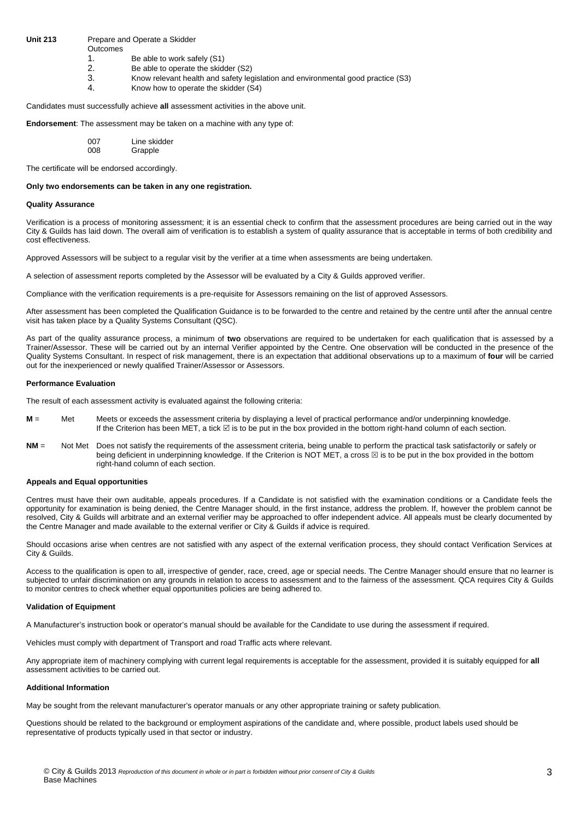**Unit 213** Prepare and Operate a Skidder

- Outcomes<br>1.
- 1. Be able to work safely (S1)<br>2. Be able to operate the skid
- 2. Be able to operate the skidder (S2)<br>3. Know relevant health and safety led 3. Know relevant health and safety legislation and environmental good practice (S3)<br>4. Know how to operate the skidder (S4)
	- 4. Know how to operate the skidder (S4)

Candidates must successfully achieve **all** assessment activities in the above unit.

**Endorsement**: The assessment may be taken on a machine with any type of:

007 Line skidder<br>008 Grapple Grapple

The certificate will be endorsed accordingly.

**Only two endorsements can be taken in any one registration.** 

#### **Quality Assurance**

Verification is a process of monitoring assessment; it is an essential check to confirm that the assessment procedures are being carried out in the way City & Guilds has laid down. The overall aim of verification is to establish a system of quality assurance that is acceptable in terms of both credibility and cost effectiveness.

Approved Assessors will be subject to a regular visit by the verifier at a time when assessments are being undertaken.

A selection of assessment reports completed by the Assessor will be evaluated by a City & Guilds approved verifier.

Compliance with the verification requirements is a pre-requisite for Assessors remaining on the list of approved Assessors.

After assessment has been completed the Qualification Guidance is to be forwarded to the centre and retained by the centre until after the annual centre visit has taken place by a Quality Systems Consultant (QSC).

As part of the quality assurance process, a minimum of **two** observations are required to be undertaken for each qualification that is assessed by a Trainer/Assessor. These will be carried out by an internal Verifier appointed by the Centre. One observation will be conducted in the presence of the Quality Systems Consultant. In respect of risk management, there is an expectation that additional observations up to a maximum of **four** will be carried out for the inexperienced or newly qualified Trainer/Assessor or Assessors.

#### **Performance Evaluation**

The result of each assessment activity is evaluated against the following criteria:

- **M** = Met Meets or exceeds the assessment criteria by displaying a level of practical performance and/or underpinning knowledge. If the Criterion has been MET, a tick  $\boxtimes$  is to be put in the box provided in the bottom right-hand column of each section.
- **NM** = Not Met Does not satisfy the requirements of the assessment criteria, being unable to perform the practical task satisfactorily or safely or being deficient in underpinning knowledge. If the Criterion is NOT MET, a cross  $\boxtimes$  is to be put in the box provided in the bottom right-hand column of each section.

#### **Appeals and Equal opportunities**

Centres must have their own auditable, appeals procedures. If a Candidate is not satisfied with the examination conditions or a Candidate feels the opportunity for examination is being denied, the Centre Manager should, in the first instance, address the problem. If, however the problem cannot be resolved, City & Guilds will arbitrate and an external verifier may be approached to offer independent advice. All appeals must be clearly documented by the Centre Manager and made available to the external verifier or City & Guilds if advice is required.

Should occasions arise when centres are not satisfied with any aspect of the external verification process, they should contact Verification Services at City & Guilds.

Access to the qualification is open to all, irrespective of gender, race, creed, age or special needs. The Centre Manager should ensure that no learner is subjected to unfair discrimination on any grounds in relation to access to assessment and to the fairness of the assessment. QCA requires City & Guilds to monitor centres to check whether equal opportunities policies are being adhered to.

#### **Validation of Equipment**

A Manufacturer's instruction book or operator's manual should be available for the Candidate to use during the assessment if required.

Vehicles must comply with department of Transport and road Traffic acts where relevant.

Any appropriate item of machinery complying with current legal requirements is acceptable for the assessment, provided it is suitably equipped for **all** assessment activities to be carried out.

#### **Additional Information**

May be sought from the relevant manufacturer's operator manuals or any other appropriate training or safety publication.

Questions should be related to the background or employment aspirations of the candidate and, where possible, product labels used should be representative of products typically used in that sector or industry.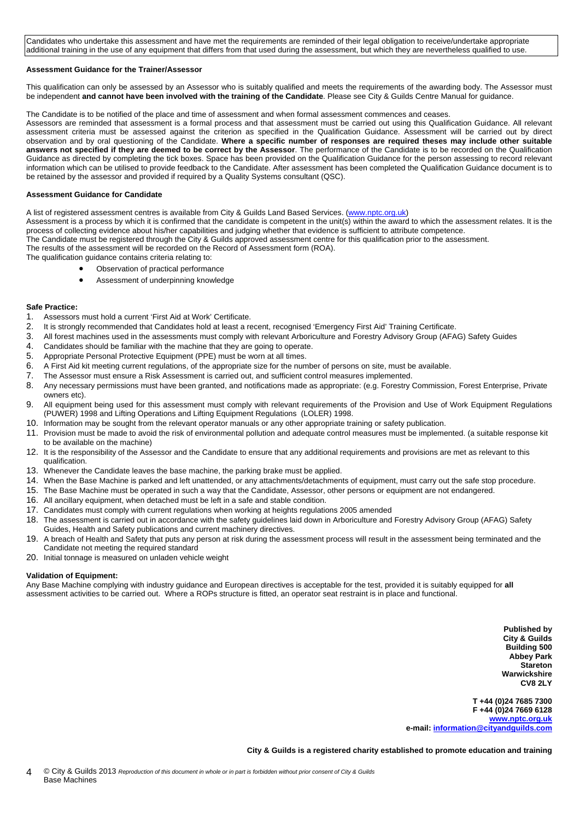Candidates who undertake this assessment and have met the requirements are reminded of their legal obligation to receive/undertake appropriate additional training in the use of any equipment that differs from that used during the assessment, but which they are nevertheless qualified to use.

#### **Assessment Guidance for the Trainer/Assessor**

This qualification can only be assessed by an Assessor who is suitably qualified and meets the requirements of the awarding body. The Assessor must be independent **and cannot have been involved with the training of the Candidate**. Please see City & Guilds Centre Manual for guidance.

The Candidate is to be notified of the place and time of assessment and when formal assessment commences and ceases.

Assessors are reminded that assessment is a formal process and that assessment must be carried out using this Qualification Guidance. All relevant assessment criteria must be assessed against the criterion as specified in the Qualification Guidance. Assessment will be carried out by direct observation and by oral questioning of the Candidate. **Where a specific number of responses are required theses may include other suitable answers not specified if they are deemed to be correct by the Assessor**. The performance of the Candidate is to be recorded on the Qualification Guidance as directed by completing the tick boxes. Space has been provided on the Qualification Guidance for the person assessing to record relevant information which can be utilised to provide feedback to the Candidate. After assessment has been completed the Qualification Guidance document is to be retained by the assessor and provided if required by a Quality Systems consultant (QSC).

#### **Assessment Guidance for Candidate**

A list of registered assessment centres is available from City & Guilds Land Based Services. ([www.nptc.org.uk\)](http://www.nptc.org.uk/)

Assessment is a process by which it is confirmed that the candidate is competent in the unit(s) within the award to which the assessment relates. It is the process of collecting evidence about his/her capabilities and judging whether that evidence is sufficient to attribute competence.

The Candidate must be registered through the City & Guilds approved assessment centre for this qualification prior to the assessment.

The results of the assessment will be recorded on the Record of Assessment form (ROA).

The qualification guidance contains criteria relating to:

- Observation of practical performance
	- Assessment of underpinning knowledge

#### **Safe Practice:**

- 1. Assessors must hold a current 'First Aid at Work' Certificate.
- 2. It is strongly recommended that Candidates hold at least a recent, recognised 'Emergency First Aid' Training Certificate.<br>3. All forest machines used in the assessments must comply with relevant Arboriculture and Forest
- 3. All forest machines used in the assessments must comply with relevant Arboriculture and Forestry Advisory Group (AFAG) Safety Guides
- 4. Candidates should be familiar with the machine that they are going to operate.<br>5. Appropriate Personal Protective Foujoment (PPF) must be worn at all times.
- Appropriate Personal Protective Equipment (PPE) must be worn at all times.
- 6. A First Aid kit meeting current regulations, of the appropriate size for the number of persons on site, must be available.<br>7. The Assessor must ensure a Risk Assessment is carried out, and sufficient control measures im
- 7. The Assessor must ensure a Risk Assessment is carried out, and sufficient control measures implemented.
- 8. Any necessary permissions must have been granted, and notifications made as appropriate: (e.g. Forestry Commission, Forest Enterprise, Private owners etc).
- 9. All equipment being used for this assessment must comply with relevant requirements of the Provision and Use of Work Equipment Regulations (PUWER) 1998 and Lifting Operations and Lifting Equipment Regulations (LOLER) 1998.
- 10. Information may be sought from the relevant operator manuals or any other appropriate training or safety publication.
- 11. Provision must be made to avoid the risk of environmental pollution and adequate control measures must be implemented. (a suitable response kit to be available on the machine)
- 12. It is the responsibility of the Assessor and the Candidate to ensure that any additional requirements and provisions are met as relevant to this qualification.
- 13. Whenever the Candidate leaves the base machine, the parking brake must be applied.
- 14. When the Base Machine is parked and left unattended, or any attachments/detachments of equipment, must carry out the safe stop procedure.
- 15. The Base Machine must be operated in such a way that the Candidate, Assessor, other persons or equipment are not endangered.
- 16. All ancillary equipment, when detached must be left in a safe and stable condition.
- 17. Candidates must comply with current regulations when working at heights regulations 2005 amended
- 18. The assessment is carried out in accordance with the safety guidelines laid down in Arboriculture and Forestry Advisory Group (AFAG) Safety Guides, Health and Safety publications and current machinery directives.
- 19. A breach of Health and Safety that puts any person at risk during the assessment process will result in the assessment being terminated and the Candidate not meeting the required standard
- 20. Initial tonnage is measured on unladen vehicle weight

#### **Validation of Equipment:**

Any Base Machine complying with industry guidance and European directives is acceptable for the test, provided it is suitably equipped for **all** assessment activities to be carried out. Where a ROPs structure is fitted, an operator seat restraint is in place and functional.

> **Published by City & Guilds Building 500 Abbey Park Stareton Warwickshire CV8 2LY**

**T +44 (0)24 7685 7300 F +44 (0)24 7669 6128 [www.nptc.org.uk](http://www.nptc.org.uk/) e-mail: [information@cityandguilds.com](mailto:information@cityandguilds.com)**

**City & Guilds is a registered charity established to promote education and training**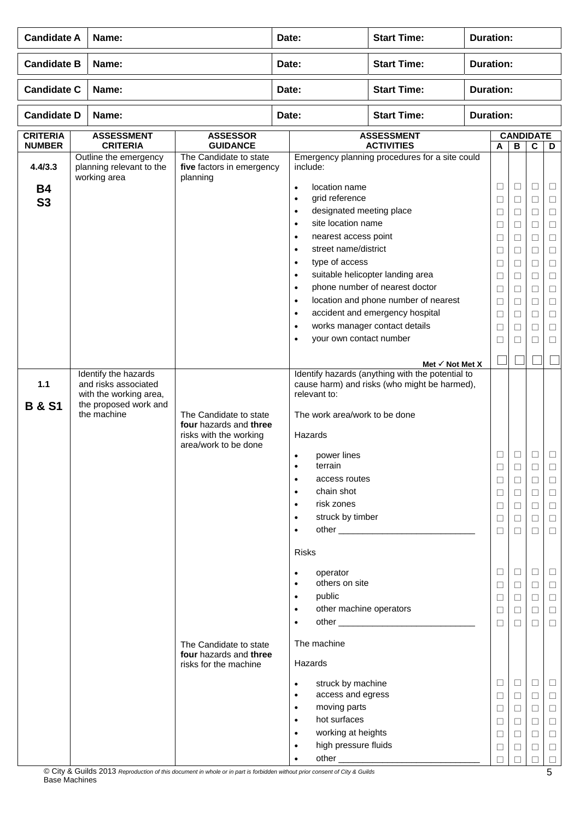| <b>Candidate A</b><br>Name:       |  |                                                                                        |                                                                                                    | Date: |                                                                                                                                                                                                                                                                                                                                                                     | <b>Start Time:</b>                                                                                                                                                                                                               | <b>Duration:</b> |                                                                                                            |                                                                                                                      |                                                                                                                                |                                                                                                                                |  |
|-----------------------------------|--|----------------------------------------------------------------------------------------|----------------------------------------------------------------------------------------------------|-------|---------------------------------------------------------------------------------------------------------------------------------------------------------------------------------------------------------------------------------------------------------------------------------------------------------------------------------------------------------------------|----------------------------------------------------------------------------------------------------------------------------------------------------------------------------------------------------------------------------------|------------------|------------------------------------------------------------------------------------------------------------|----------------------------------------------------------------------------------------------------------------------|--------------------------------------------------------------------------------------------------------------------------------|--------------------------------------------------------------------------------------------------------------------------------|--|
| <b>Candidate B</b>                |  | Name:                                                                                  |                                                                                                    | Date: |                                                                                                                                                                                                                                                                                                                                                                     | <b>Start Time:</b>                                                                                                                                                                                                               | <b>Duration:</b> |                                                                                                            |                                                                                                                      |                                                                                                                                |                                                                                                                                |  |
| <b>Candidate C</b>                |  | Name:                                                                                  |                                                                                                    | Date: |                                                                                                                                                                                                                                                                                                                                                                     | <b>Start Time:</b>                                                                                                                                                                                                               | <b>Duration:</b> |                                                                                                            |                                                                                                                      |                                                                                                                                |                                                                                                                                |  |
| <b>Candidate D</b>                |  | Name:                                                                                  |                                                                                                    |       | <b>Start Time:</b><br>Date:                                                                                                                                                                                                                                                                                                                                         |                                                                                                                                                                                                                                  |                  | <b>Duration:</b>                                                                                           |                                                                                                                      |                                                                                                                                |                                                                                                                                |  |
| <b>CRITERIA</b><br><b>NUMBER</b>  |  | <b>ASSESSMENT</b><br><b>CRITERIA</b>                                                   | <b>ASSESSOR</b><br><b>GUIDANCE</b>                                                                 |       |                                                                                                                                                                                                                                                                                                                                                                     | <b>ASSESSMENT</b><br><b>ACTIVITIES</b>                                                                                                                                                                                           |                  | <b>CANDIDATE</b><br>$\overline{c}$<br>$\, {\bf B}$<br>A                                                    |                                                                                                                      |                                                                                                                                | D                                                                                                                              |  |
| 4.4/3.3<br><b>B4</b><br><b>S3</b> |  | Outline the emergency<br>planning relevant to the<br>working area                      | The Candidate to state<br>five factors in emergency<br>planning                                    |       | include:<br>location name<br>$\bullet$<br>grid reference<br>$\bullet$<br>designated meeting place<br>$\bullet$<br>site location name<br>$\bullet$<br>nearest access point<br>$\bullet$<br>street name/district<br>$\bullet$<br>type of access<br>$\bullet$<br>$\bullet$<br>$\bullet$<br>$\bullet$<br>$\bullet$<br>$\bullet$<br>your own contact number<br>$\bullet$ | Emergency planning procedures for a site could<br>suitable helicopter landing area<br>phone number of nearest doctor<br>location and phone number of nearest<br>accident and emergency hospital<br>works manager contact details |                  | □<br>$\Box$<br>$\Box$<br>□<br>$\Box$<br>□<br>□<br>$\Box$<br>$\Box$<br>$\Box$<br>$\Box$<br>$\Box$<br>$\Box$ | $\Box$<br>$\Box$<br>$\Box$<br>□<br>$\Box$<br>$\Box$<br>$\Box$<br>$\Box$<br>$\Box$<br>$\Box$<br>$\Box$<br>□<br>$\Box$ | $\Box$<br>$\Box$<br>$\Box$<br>$\Box$<br>$\Box$<br>$\Box$<br>$\Box$<br>$\Box$<br>$\Box$<br>$\Box$<br>$\Box$<br>$\Box$<br>$\Box$ | $\Box$<br>$\Box$<br>$\Box$<br>$\Box$<br>$\Box$<br>$\Box$<br>$\Box$<br>$\Box$<br>$\Box$<br>$\Box$<br>$\Box$<br>$\Box$<br>$\Box$ |  |
|                                   |  | Identify the hazards                                                                   |                                                                                                    |       |                                                                                                                                                                                                                                                                                                                                                                     | Met $\checkmark$ Not Met X<br>Identify hazards (anything with the potential to                                                                                                                                                   |                  |                                                                                                            |                                                                                                                      |                                                                                                                                |                                                                                                                                |  |
| 1.1<br><b>B &amp; S1</b>          |  | and risks associated<br>with the working area,<br>the proposed work and<br>the machine | The Candidate to state<br>four hazards and three<br>risks with the working<br>area/work to be done |       | relevant to:<br>The work area/work to be done<br>Hazards<br>power lines<br>$\bullet$<br>terrain<br>$\bullet$<br>access routes<br>$\bullet$<br>chain shot<br>$\bullet$<br>risk zones<br>$\bullet$<br>struck by timber<br>$\bullet$<br>$\bullet$<br><b>Risks</b>                                                                                                      | cause harm) and risks (who might be harmed),                                                                                                                                                                                     |                  | $\Box$<br>⊔<br>$\Box$<br>⊔<br>□<br>□<br>П                                                                  | □<br>⊔<br>$\Box$<br>$\Box$<br>$\Box$<br>$\Box$<br>$\Box$                                                             | □<br>⊔<br>$\Box$<br>$\Box$<br>$\Box$<br>$\Box$<br>$\Box$                                                                       | □<br>⊔<br>$\Box$<br>$\Box$<br>$\Box$<br>$\Box$<br>$\Box$                                                                       |  |
|                                   |  |                                                                                        | The Candidate to state<br>four hazards and three<br>risks for the machine                          |       | operator<br>$\bullet$<br>others on site<br>$\bullet$<br>public<br>$\bullet$<br>other machine operators<br>$\bullet$<br>$\bullet$<br>The machine<br>Hazards                                                                                                                                                                                                          |                                                                                                                                                                                                                                  |                  | □<br>$\Box$<br>□<br>□<br>$\Box$                                                                            | $\Box$<br>$\Box$<br>$\Box$<br>$\Box$<br>$\Box$                                                                       | $\Box$<br>$\Box$<br>$\Box$<br>$\Box$<br>$\Box$                                                                                 | $\Box$<br>$\Box$<br>$\Box$<br>$\Box$<br>$\Box$                                                                                 |  |
|                                   |  |                                                                                        |                                                                                                    |       | struck by machine<br>$\bullet$<br>access and egress<br>$\bullet$<br>moving parts<br>$\bullet$<br>hot surfaces<br>$\bullet$<br>working at heights<br>$\bullet$<br>high pressure fluids<br>$\bullet$<br>$\bullet$                                                                                                                                                     |                                                                                                                                                                                                                                  |                  | □<br>$\Box$<br>$\Box$<br>□<br>$\Box$<br>П<br>П                                                             | $\Box$<br>$\Box$<br>$\Box$<br>$\Box$<br>$\Box$<br>□<br>□                                                             | $\Box$<br>$\Box$<br>$\Box$<br>$\Box$<br>$\Box$<br>□<br>$\Box$                                                                  | ⊔<br>$\Box$<br>$\Box$<br>$\Box$<br>$\Box$<br>$\Box$<br>$\Box$                                                                  |  |

© City & Guilds 2013 *Reproduction of this document in whole or in part is forbidden without prior consent of City & Guilds*  Base Machines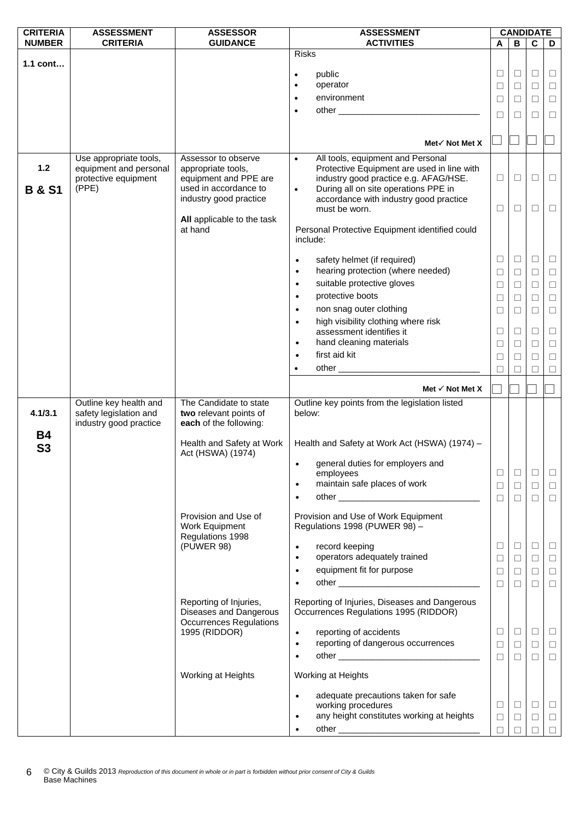| <b>CRITERIA</b>   | <b>ASSESSMENT</b>                                | <b>ASSESSOR</b>                                          | <b>ASSESSMENT</b>                                        |        |        | <b>CANDIDATE</b> |        |
|-------------------|--------------------------------------------------|----------------------------------------------------------|----------------------------------------------------------|--------|--------|------------------|--------|
| <b>NUMBER</b>     | <b>CRITERIA</b>                                  | <b>GUIDANCE</b>                                          | <b>ACTIVITIES</b>                                        | A      | B      | C                | D      |
|                   |                                                  |                                                          | <b>Risks</b>                                             |        |        |                  |        |
| 1.1 cont          |                                                  |                                                          | public<br>$\bullet$                                      | ⊔      | $\Box$ | □                | $\Box$ |
|                   |                                                  |                                                          | operator<br>$\bullet$                                    | $\Box$ | $\Box$ | $\Box$           | $\Box$ |
|                   |                                                  |                                                          | environment<br>$\bullet$                                 | $\Box$ | $\Box$ | $\Box$           | $\Box$ |
|                   |                                                  |                                                          | $\bullet$                                                |        |        |                  |        |
|                   |                                                  |                                                          |                                                          | ⊔      | ⊔      | Ш                | $\Box$ |
|                   |                                                  |                                                          |                                                          |        |        |                  |        |
|                   |                                                  |                                                          | Met√ Not Met X                                           |        |        |                  |        |
|                   | Use appropriate tools,                           | Assessor to observe                                      | All tools, equipment and Personal<br>$\bullet$           |        |        |                  |        |
| $1.2$             | equipment and personal                           | appropriate tools,                                       | Protective Equipment are used in line with               |        |        |                  |        |
|                   | protective equipment                             | equipment and PPE are                                    | industry good practice e.g. AFAG/HSE.                    | □      | $\Box$ | $\Box$           | $\Box$ |
| <b>B &amp; S1</b> | (PPE)                                            | used in accordance to                                    | During all on site operations PPE in<br>$\bullet$        |        |        |                  |        |
|                   |                                                  | industry good practice                                   | accordance with industry good practice                   |        |        |                  |        |
|                   |                                                  | All applicable to the task                               | must be worn.                                            | ⊔      | ⊔      | $\Box$           | $\Box$ |
|                   |                                                  | at hand                                                  | Personal Protective Equipment identified could           |        |        |                  |        |
|                   |                                                  |                                                          | include:                                                 |        |        |                  |        |
|                   |                                                  |                                                          |                                                          |        |        |                  |        |
|                   |                                                  |                                                          | safety helmet (if required)<br>$\bullet$                 | □      | $\Box$ | □                | $\Box$ |
|                   |                                                  |                                                          | hearing protection (where needed)<br>$\bullet$           | $\Box$ | $\Box$ | $\Box$           | $\Box$ |
|                   |                                                  |                                                          | suitable protective gloves<br>$\bullet$                  | $\Box$ | $\Box$ | $\Box$           | $\Box$ |
|                   |                                                  |                                                          | protective boots<br>$\bullet$                            | $\Box$ | $\Box$ | $\Box$           | $\Box$ |
|                   |                                                  |                                                          | non snag outer clothing<br>$\bullet$                     | $\Box$ | □      | □                | $\Box$ |
|                   |                                                  |                                                          | high visibility clothing where risk<br>$\bullet$         |        |        |                  |        |
|                   |                                                  |                                                          | assessment identifies it                                 | $\Box$ | $\Box$ | $\Box$           | $\Box$ |
|                   |                                                  |                                                          | hand cleaning materials<br>$\bullet$                     | $\Box$ | $\Box$ | $\Box$           | $\Box$ |
|                   |                                                  |                                                          | first aid kit<br>$\bullet$                               | $\Box$ | □      | □                | $\Box$ |
|                   |                                                  |                                                          | other ________________                                   | П      | □      | П                | $\Box$ |
|                   |                                                  |                                                          | Met $\checkmark$ Not Met X                               |        |        |                  |        |
|                   |                                                  |                                                          |                                                          |        |        |                  |        |
| 4.1/3.1           | Outline key health and<br>safety legislation and | The Candidate to state<br>two relevant points of         | Outline key points from the legislation listed<br>below: |        |        |                  |        |
|                   | industry good practice                           | each of the following:                                   |                                                          |        |        |                  |        |
| <b>B4</b>         |                                                  |                                                          |                                                          |        |        |                  |        |
| <b>S3</b>         |                                                  | Health and Safety at Work                                | Health and Safety at Work Act (HSWA) (1974) -            |        |        |                  |        |
|                   |                                                  | Act (HSWA) (1974)                                        | general duties for employers and                         |        |        |                  |        |
|                   |                                                  |                                                          | employees                                                | $\Box$ | $\Box$ | □                | $\Box$ |
|                   |                                                  |                                                          | maintain safe places of work<br>$\bullet$                | $\Box$ | $\Box$ | □                | $\Box$ |
|                   |                                                  |                                                          | $\bullet$                                                | $\Box$ | $\Box$ | $\Box$           | $\Box$ |
|                   |                                                  |                                                          |                                                          |        |        |                  |        |
|                   |                                                  | Provision and Use of                                     | Provision and Use of Work Equipment                      |        |        |                  |        |
|                   |                                                  | Work Equipment<br>Regulations 1998                       | Regulations 1998 (PUWER 98) -                            |        |        |                  |        |
|                   |                                                  | (PUWER 98)                                               | record keeping<br>$\bullet$                              | □      | $\Box$ | □                | $\Box$ |
|                   |                                                  |                                                          | operators adequately trained<br>$\bullet$                | $\Box$ | $\Box$ | $\Box$           | $\Box$ |
|                   |                                                  |                                                          | equipment fit for purpose<br>$\bullet$                   | $\Box$ | $\Box$ | $\Box$           | $\Box$ |
|                   |                                                  |                                                          | $\bullet$                                                | $\Box$ | $\Box$ | □                | $\Box$ |
|                   |                                                  |                                                          |                                                          |        |        |                  |        |
|                   |                                                  | Reporting of Injuries,                                   | Reporting of Injuries, Diseases and Dangerous            |        |        |                  |        |
|                   |                                                  | Diseases and Dangerous<br><b>Occurrences Regulations</b> | Occurrences Regulations 1995 (RIDDOR)                    |        |        |                  |        |
|                   |                                                  | 1995 (RIDDOR)                                            | reporting of accidents<br>$\bullet$                      | $\Box$ | $\Box$ | $\Box$           | $\Box$ |
|                   |                                                  |                                                          | reporting of dangerous occurrences<br>$\bullet$          | □      | $\Box$ | $\Box$           | $\Box$ |
|                   |                                                  |                                                          | $\bullet$                                                | $\Box$ | $\Box$ | П                | $\Box$ |
|                   |                                                  |                                                          |                                                          |        |        |                  |        |
|                   |                                                  | Working at Heights                                       | Working at Heights                                       |        |        |                  |        |
|                   |                                                  |                                                          | adequate precautions taken for safe<br>$\bullet$         |        |        |                  |        |
|                   |                                                  |                                                          | working procedures                                       | □      | $\Box$ | $\Box$           | $\Box$ |
|                   |                                                  |                                                          | any height constitutes working at heights<br>$\bullet$   | $\Box$ | $\Box$ | $\Box$           | $\Box$ |
|                   |                                                  |                                                          |                                                          | □      |        |                  |        |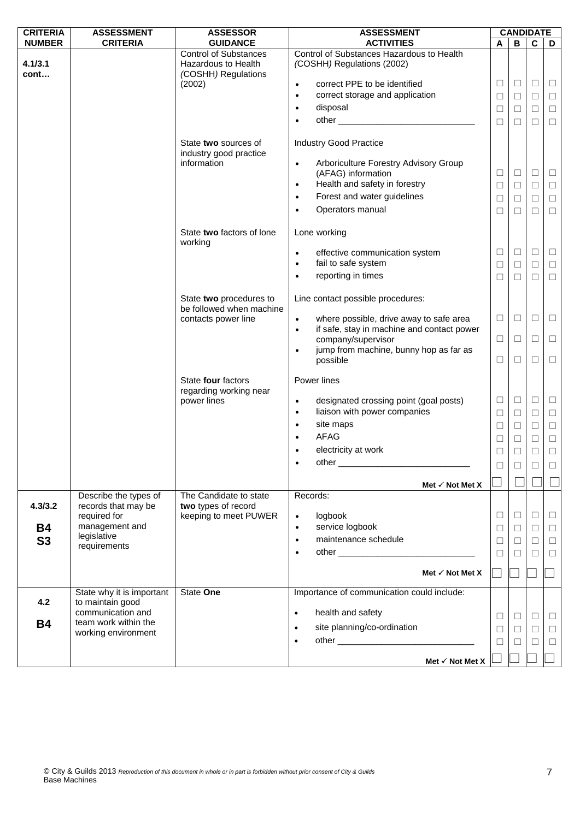| <b>CRITERIA</b> | <b>ASSESSMENT</b>                     | <b>ASSESSOR</b>                                                            | <b>ASSESSMENT</b>                                                                                                                                                                                                                          |        | <b>CANDIDATE</b> |        |        |
|-----------------|---------------------------------------|----------------------------------------------------------------------------|--------------------------------------------------------------------------------------------------------------------------------------------------------------------------------------------------------------------------------------------|--------|------------------|--------|--------|
| <b>NUMBER</b>   | <b>CRITERIA</b>                       | <b>GUIDANCE</b>                                                            | <b>ACTIVITIES</b>                                                                                                                                                                                                                          | A      | В                | C      | D      |
| 4.1/3.1<br>cont |                                       | <b>Control of Substances</b><br>Hazardous to Health<br>(COSHH) Regulations | Control of Substances Hazardous to Health<br>(COSHH) Regulations (2002)                                                                                                                                                                    |        |                  |        |        |
|                 |                                       | (2002)                                                                     | correct PPE to be identified<br>$\bullet$                                                                                                                                                                                                  | ⊔      | $\Box$           | $\Box$ | $\Box$ |
|                 |                                       |                                                                            | correct storage and application<br>$\bullet$                                                                                                                                                                                               | $\Box$ | $\Box$           | $\Box$ | $\Box$ |
|                 |                                       |                                                                            | disposal<br>$\bullet$                                                                                                                                                                                                                      | $\Box$ | □                | $\Box$ | $\Box$ |
|                 |                                       |                                                                            | $\bullet$                                                                                                                                                                                                                                  | $\Box$ | $\Box$           | $\Box$ | $\Box$ |
|                 |                                       |                                                                            |                                                                                                                                                                                                                                            |        |                  |        |        |
|                 |                                       | State two sources of<br>industry good practice                             | <b>Industry Good Practice</b>                                                                                                                                                                                                              |        |                  |        |        |
|                 |                                       | information                                                                | Arboriculture Forestry Advisory Group<br>$\bullet$                                                                                                                                                                                         |        |                  |        |        |
|                 |                                       |                                                                            | (AFAG) information                                                                                                                                                                                                                         | □      | $\Box$           | $\Box$ | $\Box$ |
|                 |                                       |                                                                            | Health and safety in forestry<br>$\bullet$                                                                                                                                                                                                 | $\Box$ | $\Box$           | $\Box$ | $\Box$ |
|                 |                                       |                                                                            | Forest and water guidelines<br>$\bullet$                                                                                                                                                                                                   | $\Box$ | $\Box$           | $\Box$ | $\Box$ |
|                 |                                       |                                                                            | Operators manual<br>$\bullet$                                                                                                                                                                                                              | □      | $\Box$           | П      | $\Box$ |
|                 |                                       |                                                                            |                                                                                                                                                                                                                                            |        |                  |        |        |
|                 |                                       | State two factors of lone<br>working                                       | Lone working                                                                                                                                                                                                                               |        |                  |        |        |
|                 |                                       |                                                                            | effective communication system<br>$\bullet$                                                                                                                                                                                                | □      | $\Box$           | $\Box$ | $\Box$ |
|                 |                                       |                                                                            | fail to safe system                                                                                                                                                                                                                        | □      | $\Box$           | $\Box$ | $\Box$ |
|                 |                                       |                                                                            | reporting in times<br>$\bullet$                                                                                                                                                                                                            | $\Box$ | □                | $\Box$ | $\Box$ |
|                 |                                       | State two procedures to<br>be followed when machine                        | Line contact possible procedures:                                                                                                                                                                                                          |        |                  |        |        |
|                 |                                       | contacts power line                                                        | where possible, drive away to safe area<br>$\bullet$<br>if safe, stay in machine and contact power<br>$\bullet$                                                                                                                            | $\Box$ | $\Box$           | $\Box$ | $\Box$ |
|                 |                                       |                                                                            | company/supervisor                                                                                                                                                                                                                         | $\Box$ | □                | $\Box$ | $\Box$ |
|                 |                                       |                                                                            | jump from machine, bunny hop as far as<br>$\bullet$                                                                                                                                                                                        |        |                  |        |        |
|                 |                                       |                                                                            | possible                                                                                                                                                                                                                                   | $\Box$ | □                | $\Box$ | $\Box$ |
|                 |                                       | State four factors<br>regarding working near                               | Power lines                                                                                                                                                                                                                                |        |                  |        |        |
|                 |                                       | power lines                                                                | designated crossing point (goal posts)<br>$\bullet$                                                                                                                                                                                        | $\Box$ | $\Box$           | $\Box$ | $\Box$ |
|                 |                                       |                                                                            | liaison with power companies<br>$\bullet$                                                                                                                                                                                                  | $\Box$ | $\Box$           | $\Box$ | $\Box$ |
|                 |                                       |                                                                            | site maps<br>$\bullet$                                                                                                                                                                                                                     | $\Box$ | $\Box$           | $\Box$ | $\Box$ |
|                 |                                       |                                                                            | <b>AFAG</b>                                                                                                                                                                                                                                | $\Box$ | $\Box$           | $\Box$ | $\Box$ |
|                 |                                       |                                                                            | electricity at work                                                                                                                                                                                                                        | ⊔      | L                | □      | $\Box$ |
|                 |                                       |                                                                            | other <u>the community of the community of the community of the community of the community of the community of the co</u>                                                                                                                  |        |                  |        |        |
|                 |                                       |                                                                            |                                                                                                                                                                                                                                            |        | Ш                | ⊔      | ⊔      |
|                 |                                       |                                                                            | Met $\checkmark$ Not Met X                                                                                                                                                                                                                 |        |                  |        |        |
|                 | Describe the types of                 | The Candidate to state                                                     | Records:                                                                                                                                                                                                                                   |        |                  |        |        |
| 4.3/3.2         | records that may be                   | two types of record                                                        |                                                                                                                                                                                                                                            |        |                  |        |        |
|                 | required for                          | keeping to meet PUWER                                                      | logbook<br>$\bullet$                                                                                                                                                                                                                       | ⊔      | $\Box$           | $\Box$ | $\Box$ |
| <b>B4</b>       | management and                        |                                                                            | service logbook<br>$\bullet$                                                                                                                                                                                                               | $\Box$ | $\Box$           | $\Box$ | $\Box$ |
| S3              | legislative<br>requirements           |                                                                            | maintenance schedule<br>$\bullet$                                                                                                                                                                                                          | $\Box$ | П                | □      | $\Box$ |
|                 |                                       |                                                                            | other and the contract of the contract of the contract of the contract of the contract of the contract of the contract of the contract of the contract of the contract of the contract of the contract of the contract of the<br>$\bullet$ | $\Box$ | □                | $\Box$ | $\Box$ |
|                 |                                       |                                                                            |                                                                                                                                                                                                                                            |        |                  |        |        |
|                 |                                       |                                                                            | Met $\checkmark$ Not Met X                                                                                                                                                                                                                 |        |                  |        |        |
| 4.2             | State why it is important             | State One                                                                  | Importance of communication could include:                                                                                                                                                                                                 |        |                  |        |        |
|                 | to maintain good<br>communication and |                                                                            | health and safety<br>$\bullet$                                                                                                                                                                                                             |        |                  |        |        |
| <b>B4</b>       | team work within the                  |                                                                            |                                                                                                                                                                                                                                            | □      | $\Box$           | $\Box$ | $\Box$ |
|                 | working environment                   |                                                                            | site planning/co-ordination<br>$\bullet$                                                                                                                                                                                                   | □      | $\Box$           | $\Box$ | $\Box$ |
|                 |                                       |                                                                            | $\bullet$                                                                                                                                                                                                                                  | $\Box$ | $\Box$           | $\Box$ | $\Box$ |
|                 |                                       |                                                                            |                                                                                                                                                                                                                                            |        |                  |        |        |
|                 |                                       |                                                                            | Met $\checkmark$ Not Met X                                                                                                                                                                                                                 |        |                  |        |        |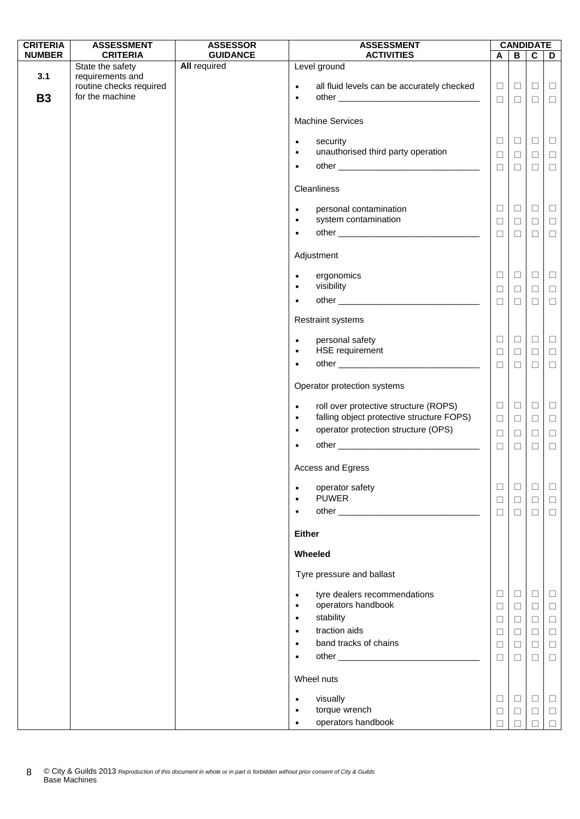| <b>CRITERIA</b> | <b>ASSESSMENT</b>                    | <b>ASSESSOR</b>     | <b>ASSESSMENT</b>                                                            |        |                | <b>CANDIDATE</b> |        |
|-----------------|--------------------------------------|---------------------|------------------------------------------------------------------------------|--------|----------------|------------------|--------|
| <b>NUMBER</b>   | <b>CRITERIA</b>                      | <b>GUIDANCE</b>     | <b>ACTIVITIES</b>                                                            | A      | $\overline{B}$ | $\overline{c}$   | D      |
| 3.1             | State the safety<br>requirements and | <b>All required</b> | Level ground                                                                 |        |                |                  |        |
|                 | routine checks required              |                     | all fluid levels can be accurately checked<br>$\bullet$                      | $\Box$ | $\Box$         | $\Box$           | $\Box$ |
| <b>B3</b>       | for the machine                      |                     | $\bullet$                                                                    | $\Box$ | $\Box$         | $\Box$           | $\Box$ |
|                 |                                      |                     |                                                                              |        |                |                  |        |
|                 |                                      |                     | <b>Machine Services</b>                                                      |        |                |                  |        |
|                 |                                      |                     | security<br>$\bullet$                                                        | $\Box$ | $\Box$         | $\Box$           | $\Box$ |
|                 |                                      |                     | unauthorised third party operation<br>$\bullet$                              | □      | $\Box$         | $\Box$           | $\Box$ |
|                 |                                      |                     | $\bullet$                                                                    | $\Box$ | $\Box$         | $\Box$           | $\Box$ |
|                 |                                      |                     |                                                                              |        |                |                  |        |
|                 |                                      |                     | Cleanliness                                                                  |        |                |                  |        |
|                 |                                      |                     | personal contamination<br>$\bullet$                                          | $\Box$ | $\Box$         | $\Box$           | $\Box$ |
|                 |                                      |                     | system contamination<br>$\bullet$                                            | $\Box$ | $\Box$         | $\Box$           | $\Box$ |
|                 |                                      |                     | $\bullet$                                                                    | $\Box$ | $\Box$         | $\Box$           | $\Box$ |
|                 |                                      |                     | Adjustment                                                                   |        |                |                  |        |
|                 |                                      |                     |                                                                              |        |                |                  |        |
|                 |                                      |                     | ergonomics<br>$\bullet$                                                      | $\Box$ | $\Box$         | $\Box$           | $\Box$ |
|                 |                                      |                     | visibility<br>$\bullet$                                                      | □      | $\Box$         | $\Box$           | $\Box$ |
|                 |                                      |                     | $\bullet$                                                                    | $\Box$ | $\Box$         | $\Box$           | $\Box$ |
|                 |                                      |                     | Restraint systems                                                            |        |                |                  |        |
|                 |                                      |                     |                                                                              | $\Box$ | $\Box$         | $\Box$           | $\Box$ |
|                 |                                      |                     | personal safety<br>$\bullet$<br>HSE requirement<br>$\bullet$                 | $\Box$ | $\Box$         | $\Box$           | $\Box$ |
|                 |                                      |                     | $\bullet$                                                                    | $\Box$ | $\Box$         | $\Box$           | $\Box$ |
|                 |                                      |                     |                                                                              |        |                |                  |        |
|                 |                                      |                     | Operator protection systems                                                  |        |                |                  |        |
|                 |                                      |                     | roll over protective structure (ROPS)<br>$\bullet$                           | $\Box$ | $\Box$         | $\Box$           | $\Box$ |
|                 |                                      |                     | falling object protective structure FOPS)<br>$\bullet$                       | $\Box$ | $\Box$         | $\Box$           | $\Box$ |
|                 |                                      |                     | operator protection structure (OPS)<br>$\bullet$                             | $\Box$ | $\Box$         | $\Box$           | $\Box$ |
|                 |                                      |                     | $\bullet$                                                                    | $\Box$ | $\Box$         | $\Box$           | $\Box$ |
|                 |                                      |                     | Access and Egress                                                            |        |                |                  |        |
|                 |                                      |                     |                                                                              |        |                |                  |        |
|                 |                                      |                     | operator safety<br>$\bullet$                                                 | $\Box$ | $\Box$         | $\Box$           | $\Box$ |
|                 |                                      |                     | <b>PUWER</b><br>$\bullet$                                                    | $\Box$ | $\Box$         | $\Box$           | $\Box$ |
|                 |                                      |                     | $\bullet$                                                                    | $\Box$ | $\Box$         | $\Box$           | $\Box$ |
|                 |                                      |                     | <b>Either</b>                                                                |        |                |                  |        |
|                 |                                      |                     | <b>Wheeled</b>                                                               |        |                |                  |        |
|                 |                                      |                     | Tyre pressure and ballast                                                    |        |                |                  |        |
|                 |                                      |                     |                                                                              |        |                |                  |        |
|                 |                                      |                     | tyre dealers recommendations<br>$\bullet$<br>operators handbook<br>$\bullet$ | $\Box$ | $\Box$         | $\Box$           | $\Box$ |
|                 |                                      |                     | stability<br>$\bullet$                                                       | $\Box$ | $\Box$         | $\Box$           | $\Box$ |
|                 |                                      |                     | traction aids<br>$\bullet$                                                   | $\Box$ | $\Box$         | $\Box$           | $\Box$ |
|                 |                                      |                     | band tracks of chains<br>$\bullet$                                           | $\Box$ | $\Box$         | $\Box$           | $\Box$ |
|                 |                                      |                     | ٠                                                                            | $\Box$ | $\Box$         | $\Box$           | $\Box$ |
|                 |                                      |                     |                                                                              | $\Box$ | $\Box$         | $\Box$           | $\Box$ |
|                 |                                      |                     | Wheel nuts                                                                   |        |                |                  |        |
|                 |                                      |                     | visually<br>$\bullet$                                                        | $\Box$ | $\Box$         | $\Box$           | $\Box$ |
|                 |                                      |                     | torque wrench<br>$\bullet$                                                   | $\Box$ | $\Box$         | $\Box$           | $\Box$ |
|                 |                                      |                     | operators handbook<br>$\bullet$                                              |        |                | $\Box$           | $\Box$ |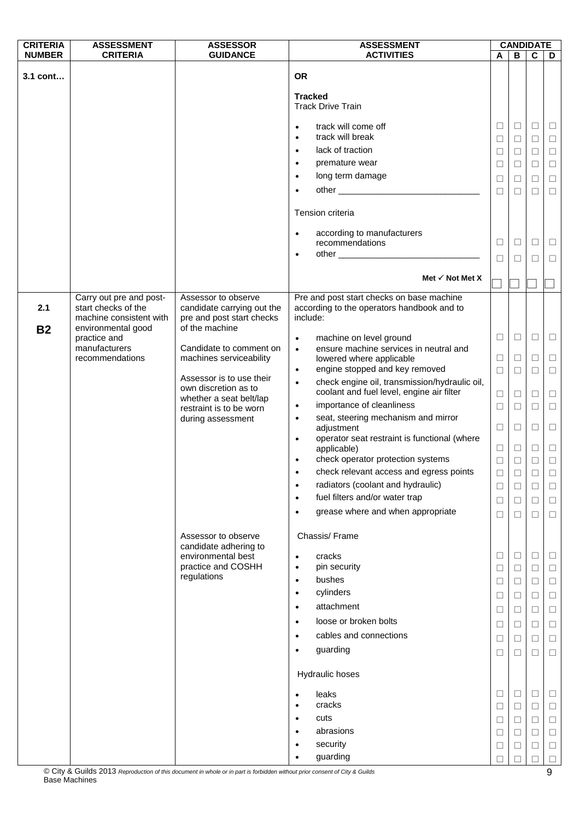| <b>CRITERIA</b> | <b>ASSESSMENT</b>                              | <b>ASSESSOR</b>                                    | <b>ASSESSMENT</b>                                                                            |                  |        | <b>CANDIDATE</b> |                  |
|-----------------|------------------------------------------------|----------------------------------------------------|----------------------------------------------------------------------------------------------|------------------|--------|------------------|------------------|
| <b>NUMBER</b>   | <b>CRITERIA</b>                                | <b>GUIDANCE</b>                                    | <b>ACTIVITIES</b>                                                                            | A                | B      | $\mathbf c$      | D                |
| 3.1 cont        |                                                |                                                    | <b>OR</b>                                                                                    |                  |        |                  |                  |
|                 |                                                |                                                    |                                                                                              |                  |        |                  |                  |
|                 |                                                |                                                    | <b>Tracked</b><br><b>Track Drive Train</b>                                                   |                  |        |                  |                  |
|                 |                                                |                                                    |                                                                                              |                  | $\Box$ |                  |                  |
|                 |                                                |                                                    | track will come off<br>$\bullet$<br>track will break<br>$\bullet$                            | $\Box$<br>$\Box$ | $\Box$ | $\Box$<br>$\Box$ | $\Box$<br>$\Box$ |
|                 |                                                |                                                    | lack of traction<br>$\bullet$                                                                | $\Box$           | $\Box$ | $\Box$           | $\Box$           |
|                 |                                                |                                                    | premature wear<br>$\bullet$                                                                  | □                | $\Box$ | $\Box$           | $\Box$           |
|                 |                                                |                                                    | long term damage<br>$\bullet$                                                                | $\Box$           | $\Box$ | $\Box$           | $\Box$           |
|                 |                                                |                                                    | $\bullet$                                                                                    | $\Box$           | $\Box$ | П                | $\Box$           |
|                 |                                                |                                                    |                                                                                              |                  |        |                  |                  |
|                 |                                                |                                                    | Tension criteria                                                                             |                  |        |                  |                  |
|                 |                                                |                                                    | according to manufacturers<br>$\bullet$                                                      |                  |        |                  |                  |
|                 |                                                |                                                    | recommendations                                                                              | $\Box$           | $\Box$ | $\Box$           | $\Box$           |
|                 |                                                |                                                    | $\bullet$                                                                                    | П                | П      | П                | □                |
|                 |                                                |                                                    | Met $\checkmark$ Not Met X                                                                   |                  |        |                  |                  |
|                 |                                                |                                                    |                                                                                              |                  |        |                  |                  |
| 2.1             | Carry out pre and post-<br>start checks of the | Assessor to observe<br>candidate carrying out the  | Pre and post start checks on base machine<br>according to the operators handbook and to      |                  |        |                  |                  |
|                 | machine consistent with                        | pre and post start checks                          | include:                                                                                     |                  |        |                  |                  |
| <b>B2</b>       | environmental good<br>practice and             | of the machine                                     | machine on level ground<br>$\bullet$                                                         | $\Box$           | $\Box$ | $\Box$           | $\Box$           |
|                 | manufacturers                                  | Candidate to comment on                            | ensure machine services in neutral and<br>$\bullet$                                          |                  |        |                  |                  |
|                 | recommendations                                | machines serviceability                            | lowered where applicable                                                                     | $\Box$           | $\Box$ | $\Box$           | $\Box$           |
|                 |                                                | Assessor is to use their                           | engine stopped and key removed<br>$\bullet$<br>check engine oil, transmission/hydraulic oil, | $\Box$           | $\Box$ | $\Box$           | $\Box$           |
|                 |                                                | own discretion as to                               | $\bullet$<br>coolant and fuel level, engine air filter                                       | $\Box$           | $\Box$ | $\Box$           | $\Box$           |
|                 |                                                | whether a seat belt/lap<br>restraint is to be worn | importance of cleanliness<br>$\bullet$                                                       | $\Box$           | $\Box$ | $\Box$           | $\Box$           |
|                 |                                                | during assessment                                  | seat, steering mechanism and mirror<br>$\bullet$                                             |                  |        |                  |                  |
|                 |                                                |                                                    | adjustment<br>operator seat restraint is functional (where<br>$\bullet$                      | $\Box$           | $\Box$ | $\Box$           | $\Box$           |
|                 |                                                |                                                    | applicable)                                                                                  | $\Box$           | $\Box$ | $\Box$           | $\Box$           |
|                 |                                                |                                                    | check operator protection systems<br>$\bullet$                                               | $\Box$           | $\Box$ | $\Box$           | $\Box$           |
|                 |                                                |                                                    | check relevant access and egress points                                                      | $\Box$           | $\Box$ | $\Box$           | $\Box$           |
|                 |                                                |                                                    | radiators (coolant and hydraulic)<br>$\bullet$<br>fuel filters and/or water trap             | $\Box$           | $\Box$ | $\Box$           | $\Box$           |
|                 |                                                |                                                    | $\bullet$                                                                                    | □                | □      | □                | $\Box$           |
|                 |                                                |                                                    | grease where and when appropriate<br>$\bullet$                                               | $\Box$           | $\Box$ | $\Box$           | $\Box$           |
|                 |                                                | Assessor to observe                                | Chassis/Frame                                                                                |                  |        |                  |                  |
|                 |                                                | candidate adhering to<br>environmental best        | cracks                                                                                       | □                | $\Box$ | $\Box$           | □                |
|                 |                                                | practice and COSHH                                 | $\bullet$<br>pin security<br>$\bullet$                                                       | ⊔                | $\Box$ | □                | □                |
|                 |                                                | regulations                                        | bushes<br>$\bullet$                                                                          | $\Box$           | □      | $\Box$           | $\Box$           |
|                 |                                                |                                                    | cylinders<br>$\bullet$                                                                       | $\Box$           | $\Box$ | $\Box$           | $\Box$           |
|                 |                                                |                                                    | attachment<br>$\bullet$                                                                      | □                | □      | $\Box$           | $\Box$           |
|                 |                                                |                                                    | loose or broken bolts<br>$\bullet$                                                           | $\Box$           | $\Box$ | $\Box$           | $\Box$           |
|                 |                                                |                                                    | cables and connections<br>$\bullet$                                                          | ⊔                | ⊔      | □                | □                |
|                 |                                                |                                                    | guarding<br>$\bullet$                                                                        | □                | □      | □                | $\Box$           |
|                 |                                                |                                                    | Hydraulic hoses                                                                              |                  |        |                  |                  |
|                 |                                                |                                                    | leaks<br>$\bullet$                                                                           | □                | □      | $\Box$           | ⊔                |
|                 |                                                |                                                    | cracks<br>$\bullet$                                                                          | $\Box$           | $\Box$ | $\Box$           | $\Box$           |
|                 |                                                |                                                    | cuts<br>$\bullet$                                                                            | ⊔                | □      | □                | $\Box$           |
|                 |                                                |                                                    | abrasions<br>٠                                                                               | $\Box$           | □      | $\Box$           | $\Box$           |
|                 |                                                |                                                    | security<br>$\bullet$                                                                        | $\Box$           | □      | □                | $\Box$           |
|                 |                                                |                                                    | guarding<br>$\bullet$                                                                        |                  |        | П                | $\Box$           |

© City & Guilds 2013 *Reproduction of this document in whole or in part is forbidden without prior consent of City & Guilds*  Base Machines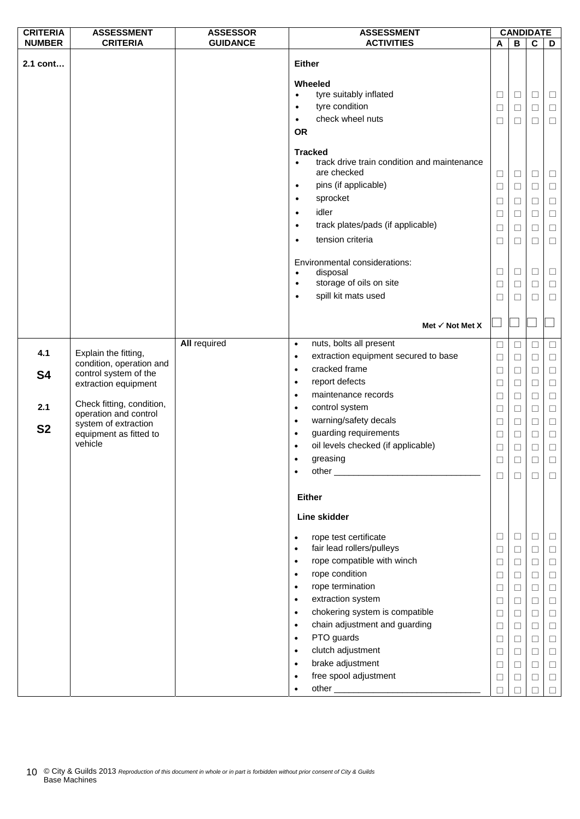| <b>CRITERIA</b>               | <b>ASSESSMENT</b>                                                                                                                                                                                                    | <b>ASSESSOR</b>     | <b>ASSESSMENT</b>                                                                                                                                                                                                                                                                                                                                                                                                                                                                   |                                                                                                                 | <b>CANDIDATE</b>                                                                                      |                                                                                                            |                                                                                                                                |
|-------------------------------|----------------------------------------------------------------------------------------------------------------------------------------------------------------------------------------------------------------------|---------------------|-------------------------------------------------------------------------------------------------------------------------------------------------------------------------------------------------------------------------------------------------------------------------------------------------------------------------------------------------------------------------------------------------------------------------------------------------------------------------------------|-----------------------------------------------------------------------------------------------------------------|-------------------------------------------------------------------------------------------------------|------------------------------------------------------------------------------------------------------------|--------------------------------------------------------------------------------------------------------------------------------|
| <b>NUMBER</b>                 | <b>CRITERIA</b>                                                                                                                                                                                                      | <b>GUIDANCE</b>     | <b>ACTIVITIES</b>                                                                                                                                                                                                                                                                                                                                                                                                                                                                   | A                                                                                                               | B                                                                                                     | $\overline{c}$                                                                                             | D                                                                                                                              |
| 2.1 cont                      |                                                                                                                                                                                                                      |                     | <b>Either</b><br>Wheeled<br>tyre suitably inflated<br>$\bullet$<br>tyre condition<br>$\bullet$<br>check wheel nuts<br>$\bullet$<br><b>OR</b>                                                                                                                                                                                                                                                                                                                                        | $\Box$<br>⊔<br>$\Box$                                                                                           | $\Box$<br>$\Box$<br>□                                                                                 | $\Box$<br>$\Box$<br>□                                                                                      | $\Box$<br>$\Box$<br>$\Box$                                                                                                     |
|                               |                                                                                                                                                                                                                      |                     | <b>Tracked</b><br>track drive train condition and maintenance<br>$\bullet$<br>are checked<br>pins (if applicable)<br>$\bullet$<br>sprocket<br>$\bullet$<br>idler<br>$\bullet$<br>track plates/pads (if applicable)<br>$\bullet$<br>tension criteria<br>$\bullet$<br>Environmental considerations:<br>disposal<br>$\bullet$                                                                                                                                                          | $\Box$<br>$\Box$<br>□<br>$\Box$<br>$\Box$<br>□<br>□                                                             | $\Box$<br>$\Box$<br>$\Box$<br>$\Box$<br>$\Box$<br>$\Box$<br>$\Box$                                    | $\Box$<br>$\Box$<br>$\Box$<br>$\Box$<br>$\Box$<br>$\Box$<br>$\Box$                                         | $\Box$<br>$\Box$<br>$\Box$<br>$\Box$<br>$\Box$<br>$\Box$<br>$\Box$                                                             |
|                               |                                                                                                                                                                                                                      |                     | storage of oils on site<br>$\bullet$                                                                                                                                                                                                                                                                                                                                                                                                                                                | $\Box$                                                                                                          | $\Box$                                                                                                | $\Box$                                                                                                     | $\Box$                                                                                                                         |
|                               |                                                                                                                                                                                                                      |                     | spill kit mats used<br>$\bullet$                                                                                                                                                                                                                                                                                                                                                                                                                                                    | □                                                                                                               | П                                                                                                     | □                                                                                                          | $\Box$                                                                                                                         |
|                               |                                                                                                                                                                                                                      |                     |                                                                                                                                                                                                                                                                                                                                                                                                                                                                                     |                                                                                                                 |                                                                                                       |                                                                                                            |                                                                                                                                |
|                               |                                                                                                                                                                                                                      |                     | Met $\checkmark$ Not Met X                                                                                                                                                                                                                                                                                                                                                                                                                                                          |                                                                                                                 |                                                                                                       |                                                                                                            |                                                                                                                                |
| 4.1<br>S4<br>2.1<br><b>S2</b> | Explain the fitting,<br>condition, operation and<br>control system of the<br>extraction equipment<br>Check fitting, condition,<br>operation and control<br>system of extraction<br>equipment as fitted to<br>vehicle | <b>All required</b> | nuts, bolts all present<br>$\bullet$<br>extraction equipment secured to base<br>$\bullet$<br>cracked frame<br>$\bullet$<br>report defects<br>$\bullet$<br>maintenance records<br>$\bullet$<br>control system<br>$\bullet$<br>warning/safety decals<br>$\bullet$<br>guarding requirements<br>$\bullet$<br>oil levels checked (if applicable)<br>greasing                                                                                                                             | $\Box$<br>$\Box$<br>□<br>□<br>$\Box$<br>$\Box$<br>$\Box$<br>$\Box$<br>$\Box$<br>$\Box$<br>□                     | $\Box$<br>$\Box$<br>$\Box$<br>$\Box$<br>$\Box$<br>$\Box$<br>$\Box$<br>$\Box$<br>$\Box$<br>$\Box$<br>□ | $\Box$<br>$\Box$<br>$\Box$<br>$\Box$<br>$\Box$<br>$\Box$<br>$\Box$<br>$\Box$<br>$\Box$<br>$\Box$<br>□      | $\Box$<br>$\Box$<br>$\Box$<br>$\Box$<br>$\Box$<br>$\Box$<br>$\Box$<br>$\Box$<br>$\Box$<br>□                                    |
|                               |                                                                                                                                                                                                                      |                     | <b>Either</b><br>Line skidder<br>rope test certificate<br>$\bullet$<br>fair lead rollers/pulleys<br>$\bullet$<br>rope compatible with winch<br>$\bullet$<br>rope condition<br>٠<br>rope termination<br>$\bullet$<br>extraction system<br>$\bullet$<br>chokering system is compatible<br>$\bullet$<br>chain adjustment and guarding<br>$\bullet$<br>PTO guards<br>$\bullet$<br>clutch adjustment<br>$\bullet$<br>brake adjustment<br>$\bullet$<br>free spool adjustment<br>$\bullet$ | □<br>$\Box$<br>$\Box$<br>⊔<br>$\Box$<br>$\Box$<br>$\Box$<br>$\Box$<br>$\Box$<br>□<br>$\Box$<br>$\Box$<br>$\Box$ | ⊔<br>$\Box$<br>$\Box$<br>⊔<br>$\Box$<br>⊔<br>$\Box$<br>$\Box$<br>□<br>$\Box$<br>⊔<br>$\Box$<br>П      | □<br>$\Box$<br>$\Box$<br>□<br>$\Box$<br>□<br>$\Box$<br>$\Box$<br>$\Box$<br>$\Box$<br>$\Box$<br>$\Box$<br>□ | $\Box$<br>$\Box$<br>$\Box$<br>$\Box$<br>$\Box$<br>$\Box$<br>$\Box$<br>$\Box$<br>$\Box$<br>$\Box$<br>$\Box$<br>$\Box$<br>$\Box$ |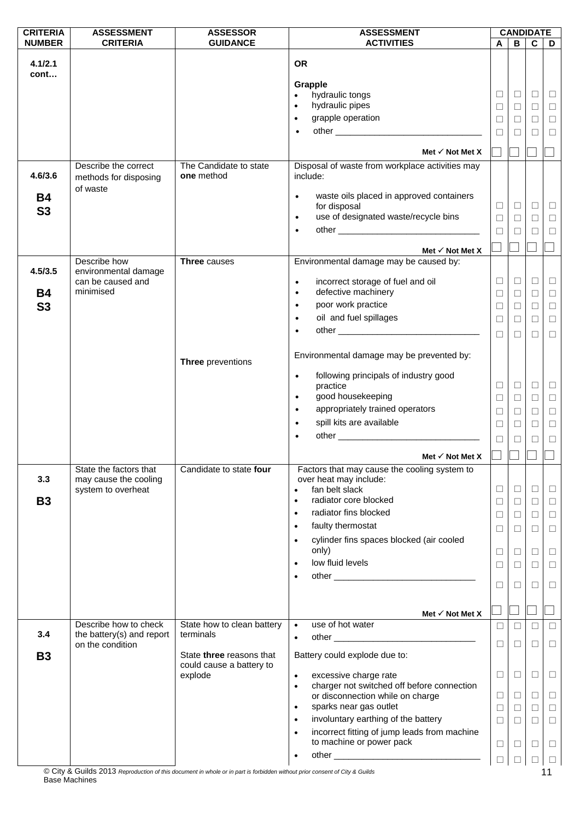| <b>CRITERIA</b> | <b>ASSESSMENT</b>                                  | <b>ASSESSOR</b>                                      | <b>ASSESSMENT</b>                                                                             |        |        | <b>CANDIDATE</b> |        |
|-----------------|----------------------------------------------------|------------------------------------------------------|-----------------------------------------------------------------------------------------------|--------|--------|------------------|--------|
| <b>NUMBER</b>   | <b>CRITERIA</b>                                    | <b>GUIDANCE</b>                                      | <b>ACTIVITIES</b>                                                                             | A      | B      | $\mathbf c$      | D      |
| 4.1/2.1         |                                                    |                                                      | <b>OR</b>                                                                                     |        |        |                  |        |
| cont            |                                                    |                                                      |                                                                                               |        |        |                  |        |
|                 |                                                    |                                                      | Grapple                                                                                       |        |        |                  |        |
|                 |                                                    |                                                      | hydraulic tongs                                                                               | □      | $\Box$ | $\Box$           | $\Box$ |
|                 |                                                    |                                                      | hydraulic pipes<br>$\bullet$                                                                  | □      | $\Box$ | $\Box$           | $\Box$ |
|                 |                                                    |                                                      | grapple operation<br>$\bullet$                                                                | $\Box$ | □      | $\Box$           | $\Box$ |
|                 |                                                    |                                                      | $\bullet$                                                                                     | $\Box$ | П      | □                | $\Box$ |
|                 |                                                    |                                                      |                                                                                               |        |        |                  |        |
|                 |                                                    |                                                      | Met $\checkmark$ Not Met X                                                                    |        |        |                  |        |
| 4.6/3.6         | Describe the correct<br>methods for disposing      | The Candidate to state<br>one method                 | Disposal of waste from workplace activities may<br>include:                                   |        |        |                  |        |
| <b>B4</b>       | of waste                                           |                                                      | waste oils placed in approved containers<br>$\bullet$                                         |        |        |                  |        |
| <b>S3</b>       |                                                    |                                                      | for disposal                                                                                  | $\Box$ | $\Box$ | $\Box$           | $\Box$ |
|                 |                                                    |                                                      | use of designated waste/recycle bins<br>$\bullet$                                             | □      | $\Box$ | □                | □      |
|                 |                                                    |                                                      | $\bullet$                                                                                     | $\Box$ | □      | □                | $\Box$ |
|                 |                                                    |                                                      | Met $\checkmark$ Not Met X                                                                    |        |        |                  |        |
|                 | Describe how                                       | Three causes                                         | Environmental damage may be caused by:                                                        |        |        |                  |        |
| 4.5/3.5         | environmental damage                               |                                                      |                                                                                               |        |        |                  |        |
|                 | can be caused and                                  |                                                      | incorrect storage of fuel and oil<br>$\bullet$                                                | $\Box$ | $\Box$ | $\Box$           | $\Box$ |
| <b>B4</b>       | minimised                                          |                                                      | defective machinery<br>$\bullet$                                                              | $\Box$ | $\Box$ | $\Box$           | $\Box$ |
| <b>S3</b>       |                                                    |                                                      | poor work practice<br>$\bullet$                                                               | $\Box$ | □      | $\Box$           | $\Box$ |
|                 |                                                    |                                                      | oil and fuel spillages<br>$\bullet$                                                           | $\Box$ | □      | □                | $\Box$ |
|                 |                                                    |                                                      | $\bullet$                                                                                     | $\Box$ | $\Box$ | $\Box$           |        |
|                 |                                                    |                                                      |                                                                                               |        |        |                  | $\Box$ |
|                 |                                                    | Three preventions                                    | Environmental damage may be prevented by:                                                     |        |        |                  |        |
|                 |                                                    |                                                      | following principals of industry good<br>$\bullet$                                            |        |        |                  |        |
|                 |                                                    |                                                      | practice                                                                                      | □      | □      | $\Box$           | $\Box$ |
|                 |                                                    |                                                      | good housekeeping<br>$\bullet$                                                                | $\Box$ | $\Box$ | $\Box$           | $\Box$ |
|                 |                                                    |                                                      | appropriately trained operators<br>$\bullet$                                                  | □      | □      | $\Box$           | $\Box$ |
|                 |                                                    |                                                      | spill kits are available<br>$\bullet$                                                         | $\Box$ | □      | □                | $\Box$ |
|                 |                                                    |                                                      | $\bullet$                                                                                     | $\Box$ | $\Box$ | $\Box$           | $\Box$ |
|                 |                                                    |                                                      |                                                                                               |        |        |                  |        |
|                 |                                                    |                                                      | Met $\checkmark$ Not Met X                                                                    | $\Box$ |        |                  |        |
| 3.3             | State the factors that<br>may cause the cooling    | Candidate to state four                              | Factors that may cause the cooling system to<br>over heat may include:                        |        | $\Box$ |                  |        |
| <b>B3</b>       | system to overheat                                 |                                                      | fan belt slack<br>$\bullet$<br>radiator core blocked<br>$\bullet$                             | $\Box$ |        | $\Box$           | $\Box$ |
|                 |                                                    |                                                      | radiator fins blocked                                                                         | $\Box$ | $\Box$ | $\Box$           | $\Box$ |
|                 |                                                    |                                                      | $\bullet$                                                                                     | $\Box$ | $\Box$ | $\Box$           | $\Box$ |
|                 |                                                    |                                                      | faulty thermostat<br>$\bullet$                                                                | □      | $\Box$ | $\Box$           | $\Box$ |
|                 |                                                    |                                                      | cylinder fins spaces blocked (air cooled<br>$\bullet$                                         |        |        |                  |        |
|                 |                                                    |                                                      | only)                                                                                         | □      | $\Box$ | □                | $\Box$ |
|                 |                                                    |                                                      | low fluid levels<br>$\bullet$                                                                 | $\Box$ | □      | $\Box$           | $\Box$ |
|                 |                                                    |                                                      | $\bullet$                                                                                     | □      | □      | □                | □      |
|                 |                                                    |                                                      |                                                                                               |        |        |                  |        |
|                 |                                                    |                                                      |                                                                                               |        |        |                  |        |
|                 |                                                    |                                                      | Met $\checkmark$ Not Met X<br>use of hot water                                                |        |        |                  |        |
| 3.4             | Describe how to check<br>the battery(s) and report | State how to clean battery<br>terminals              | $\bullet$                                                                                     | $\Box$ | $\Box$ | $\Box$           | $\Box$ |
|                 | on the condition                                   |                                                      | $\bullet$                                                                                     | $\Box$ | $\Box$ | □                | $\Box$ |
| <b>B3</b>       |                                                    | State three reasons that<br>could cause a battery to | Battery could explode due to:                                                                 |        |        |                  |        |
|                 |                                                    | explode                                              | excessive charge rate<br>$\bullet$<br>charger not switched off before connection<br>$\bullet$ | $\Box$ | $\Box$ | □                | $\Box$ |
|                 |                                                    |                                                      | or disconnection while on charge                                                              | $\Box$ | $\Box$ | □                | $\Box$ |
|                 |                                                    |                                                      | sparks near gas outlet<br>$\bullet$                                                           | $\Box$ | $\Box$ | $\Box$           | $\Box$ |
|                 |                                                    |                                                      | involuntary earthing of the battery<br>$\bullet$                                              | □      | □      | □                | $\Box$ |
|                 |                                                    |                                                      | incorrect fitting of jump leads from machine<br>$\bullet$                                     |        |        |                  |        |
|                 |                                                    |                                                      | to machine or power pack                                                                      | □      | □      | Ш                | $\Box$ |
|                 |                                                    |                                                      | $\bullet$                                                                                     | $\Box$ | $\Box$ | $\Box$           | $\Box$ |
|                 |                                                    |                                                      |                                                                                               |        |        |                  |        |

© City & Guilds 2013 *Reproduction of this document in whole or in part is forbidden without prior consent of City & Guilds*  Base Machines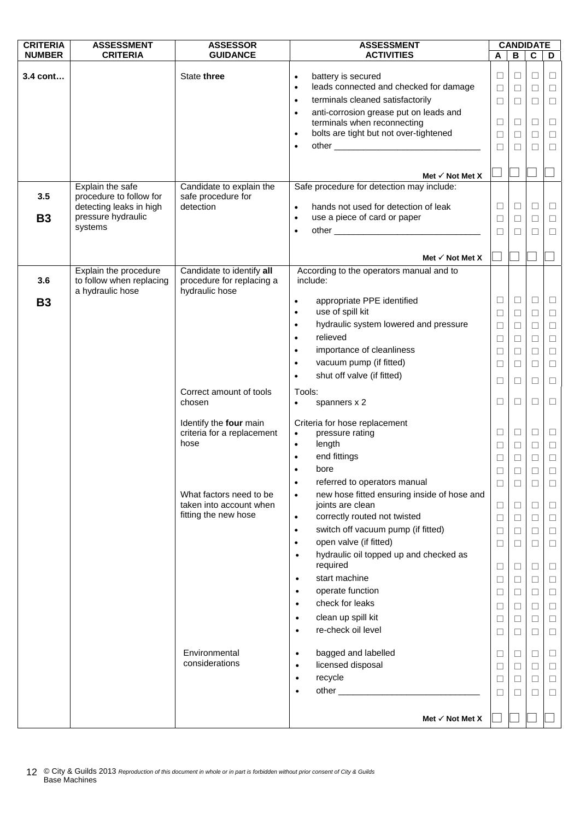| <b>CRITERIA</b> | <b>ASSESSMENT</b>        | <b>ASSESSOR</b>                                 | <b>ASSESSMENT</b>                                                |        | <b>CANDIDATE</b> |                  |        |
|-----------------|--------------------------|-------------------------------------------------|------------------------------------------------------------------|--------|------------------|------------------|--------|
| <b>NUMBER</b>   | <b>CRITERIA</b>          | <b>GUIDANCE</b>                                 | <b>ACTIVITIES</b>                                                | A      | В                | C                | D      |
| 3.4 cont        |                          | State three                                     | battery is secured                                               | $\Box$ | $\Box$           | $\Box$           | ⊔      |
|                 |                          |                                                 | $\bullet$<br>leads connected and checked for damage<br>$\bullet$ | $\Box$ | $\Box$           | $\Box$           | $\Box$ |
|                 |                          |                                                 | terminals cleaned satisfactorily<br>$\bullet$                    | $\Box$ | $\Box$           | $\Box$           | $\Box$ |
|                 |                          |                                                 | anti-corrosion grease put on leads and<br>$\bullet$              |        |                  |                  |        |
|                 |                          |                                                 | terminals when reconnecting                                      | $\Box$ | $\Box$           | $\Box$           | $\Box$ |
|                 |                          |                                                 | bolts are tight but not over-tightened<br>$\bullet$              | $\Box$ | $\Box$           | $\Box$           | $\Box$ |
|                 |                          |                                                 | $\bullet$                                                        | $\Box$ | $\Box$           | $\Box$           | $\Box$ |
|                 |                          |                                                 |                                                                  |        |                  |                  |        |
|                 |                          |                                                 | Met $\checkmark$ Not Met X                                       |        |                  |                  |        |
|                 | Explain the safe         | Candidate to explain the                        | Safe procedure for detection may include:                        |        |                  |                  |        |
| 3.5             | procedure to follow for  | safe procedure for                              |                                                                  |        |                  |                  |        |
|                 | detecting leaks in high  | detection                                       | hands not used for detection of leak<br>$\bullet$                | □      | $\Box$           | $\Box$           | □      |
| <b>B3</b>       | pressure hydraulic       |                                                 | use a piece of card or paper<br>$\bullet$                        | $\Box$ | $\Box$           | $\Box$           | $\Box$ |
|                 | systems                  |                                                 | $\bullet$                                                        | $\Box$ | $\Box$           | $\Box$           | $\Box$ |
|                 |                          |                                                 |                                                                  |        |                  |                  |        |
|                 |                          |                                                 | Met $\checkmark$ Not Met X                                       |        |                  |                  |        |
|                 | Explain the procedure    | Candidate to identify all                       | According to the operators manual and to                         |        |                  |                  |        |
| 3.6             | to follow when replacing | procedure for replacing a                       | include:                                                         |        |                  |                  |        |
|                 | a hydraulic hose         | hydraulic hose                                  | appropriate PPE identified                                       | □      | $\Box$           | $\Box$           | $\Box$ |
| <b>B3</b>       |                          |                                                 | $\bullet$<br>use of spill kit<br>$\bullet$                       | $\Box$ | $\Box$           | $\Box$           | $\Box$ |
|                 |                          |                                                 | hydraulic system lowered and pressure<br>$\bullet$               | $\Box$ | $\Box$           | $\Box$           | $\Box$ |
|                 |                          |                                                 | relieved<br>$\bullet$                                            |        |                  |                  |        |
|                 |                          |                                                 | importance of cleanliness<br>$\bullet$                           | $\Box$ | $\Box$           | $\Box$           | $\Box$ |
|                 |                          |                                                 | vacuum pump (if fitted)<br>$\bullet$                             | $\Box$ | $\Box$           | $\Box$           | $\Box$ |
|                 |                          |                                                 | shut off valve (if fitted)                                       | ⊔      | $\Box$           | $\Box$           | $\Box$ |
|                 |                          |                                                 |                                                                  | $\Box$ | $\Box$           | $\Box$           | □      |
|                 |                          | Correct amount of tools                         | Tools:                                                           |        |                  |                  |        |
|                 |                          | chosen                                          | spanners x 2<br>$\bullet$                                        | $\Box$ | $\Box$           | $\Box$           | $\Box$ |
|                 |                          | Identify the four main                          | Criteria for hose replacement                                    |        |                  |                  |        |
|                 |                          | criteria for a replacement                      | pressure rating<br>$\bullet$                                     | $\Box$ | $\Box$           | $\Box$           | $\Box$ |
|                 |                          | hose                                            | length<br>$\bullet$                                              | $\Box$ | $\Box$           | $\Box$           | $\Box$ |
|                 |                          |                                                 | end fittings                                                     | □      | $\Box$           | $\Box$           | $\Box$ |
|                 |                          |                                                 | bore<br>$\bullet$                                                | $\Box$ |                  | П                | $\Box$ |
|                 |                          |                                                 | referred to operators manual<br>$\bullet$                        | $\Box$ | $\Box$           | $\Box$           | ⊔      |
|                 |                          | What factors need to be                         | new hose fitted ensuring inside of hose and<br>$\bullet$         |        |                  |                  |        |
|                 |                          | taken into account when<br>fitting the new hose | joints are clean                                                 | $\Box$ | $\Box$           | $\Box$           | $\Box$ |
|                 |                          |                                                 | correctly routed not twisted<br>$\bullet$                        | $\Box$ | $\Box$           | $\Box$           | □      |
|                 |                          |                                                 | switch off vacuum pump (if fitted)<br>$\bullet$                  | □      | $\Box$           | $\Box$           | $\Box$ |
|                 |                          |                                                 | open valve (if fitted)<br>$\bullet$                              | $\Box$ | $\Box$           | $\Box$           | $\Box$ |
|                 |                          |                                                 | hydraulic oil topped up and checked as<br>$\bullet$<br>required  |        |                  |                  |        |
|                 |                          |                                                 | start machine                                                    | $\Box$ | $\Box$           | $\Box$           | $\Box$ |
|                 |                          |                                                 | $\bullet$                                                        | $\Box$ | $\Box$           | $\Box$           | $\Box$ |
|                 |                          |                                                 | operate function<br>$\bullet$<br>check for leaks                 | ⊔      | □                | $\Box$           | $\Box$ |
|                 |                          |                                                 | $\bullet$                                                        | ⊔      | □                | $\Box$           | □      |
|                 |                          |                                                 | clean up spill kit<br>$\bullet$                                  | $\Box$ | $\Box$           | $\Box$           | $\Box$ |
|                 |                          |                                                 | re-check oil level<br>$\bullet$                                  | □      | $\Box$           | $\Box$           | $\Box$ |
|                 |                          | Environmental                                   | bagged and labelled                                              |        |                  |                  |        |
|                 |                          | considerations                                  | $\bullet$<br>licensed disposal<br>$\bullet$                      | ⊔      | □                | $\Box$<br>$\Box$ | Ц      |
|                 |                          |                                                 | recycle<br>$\bullet$                                             | $\Box$ | $\Box$           | $\Box$           | $\Box$ |
|                 |                          |                                                 |                                                                  | ⊔      | □                |                  | $\Box$ |
|                 |                          |                                                 |                                                                  | $\Box$ | □                | $\Box$           | □      |
|                 |                          |                                                 |                                                                  |        |                  |                  |        |
|                 |                          |                                                 | Met $\checkmark$ Not Met X                                       |        |                  |                  |        |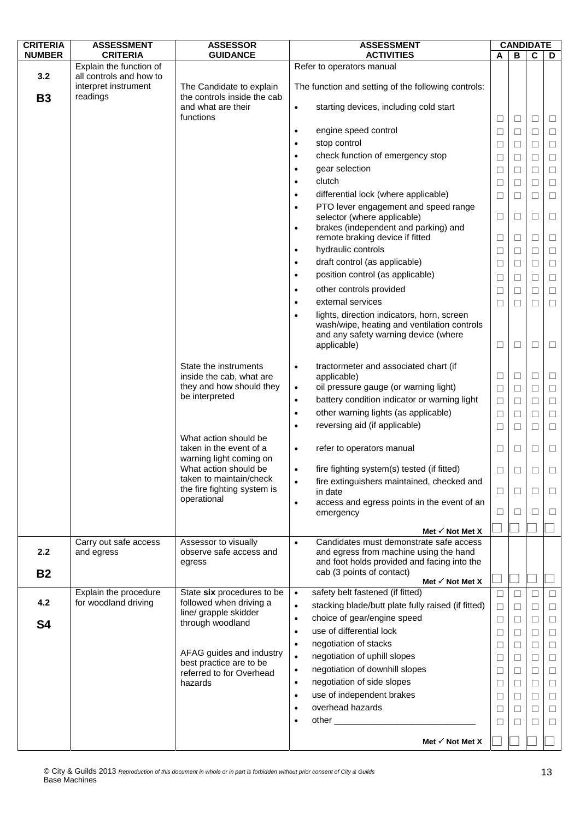| <b>CRITERIA</b>  | <b>ASSESSMENT</b>                                           | <b>ASSESSOR</b>                                         | <b>ASSESSMENT</b>                                                                                                                                                                                                                           |        | <b>CANDIDATE</b> |        |                          |
|------------------|-------------------------------------------------------------|---------------------------------------------------------|---------------------------------------------------------------------------------------------------------------------------------------------------------------------------------------------------------------------------------------------|--------|------------------|--------|--------------------------|
| <b>NUMBER</b>    | <b>CRITERIA</b>                                             | <b>GUIDANCE</b>                                         | <b>ACTIVITIES</b>                                                                                                                                                                                                                           | A      | В                | C      | D                        |
|                  | Explain the function of                                     |                                                         | Refer to operators manual                                                                                                                                                                                                                   |        |                  |        |                          |
| 3.2<br><b>B3</b> | all controls and how to<br>interpret instrument<br>readings | The Candidate to explain<br>the controls inside the cab | The function and setting of the following controls:                                                                                                                                                                                         |        |                  |        |                          |
|                  |                                                             | and what are their<br>functions                         | starting devices, including cold start<br>$\bullet$                                                                                                                                                                                         | □      | □                | $\Box$ | $\Box$                   |
|                  |                                                             |                                                         | engine speed control<br>$\bullet$                                                                                                                                                                                                           | □      | ⊔                | $\Box$ | $\Box$                   |
|                  |                                                             |                                                         | stop control<br>$\bullet$                                                                                                                                                                                                                   | $\Box$ | $\Box$           | □      | $\Box$                   |
|                  |                                                             |                                                         | check function of emergency stop<br>$\bullet$                                                                                                                                                                                               | $\Box$ | $\Box$           | $\Box$ | $\Box$                   |
|                  |                                                             |                                                         | gear selection<br>$\bullet$                                                                                                                                                                                                                 | □      | ⊔                | □      | $\Box$                   |
|                  |                                                             |                                                         | clutch<br>$\bullet$                                                                                                                                                                                                                         | $\Box$ | □                | $\Box$ | $\Box$                   |
|                  |                                                             |                                                         | differential lock (where applicable)<br>$\bullet$                                                                                                                                                                                           | □      | $\mathsf{L}$     | П      | $\Box$                   |
|                  |                                                             |                                                         | PTO lever engagement and speed range<br>$\bullet$                                                                                                                                                                                           |        |                  |        |                          |
|                  |                                                             |                                                         | selector (where applicable)                                                                                                                                                                                                                 | $\Box$ | ⊔                | □      | $\Box$                   |
|                  |                                                             |                                                         | brakes (independent and parking) and<br>$\bullet$<br>remote braking device if fitted                                                                                                                                                        | □      | ⊔                | $\Box$ | $\Box$                   |
|                  |                                                             |                                                         | hydraulic controls<br>$\bullet$                                                                                                                                                                                                             | □      | ⊔                | □      | $\Box$                   |
|                  |                                                             |                                                         | draft control (as applicable)<br>$\bullet$                                                                                                                                                                                                  | □      | $\Box$           | $\Box$ | $\Box$                   |
|                  |                                                             |                                                         | position control (as applicable)<br>$\bullet$                                                                                                                                                                                               | ⊔      | $\mathsf{L}$     | □      | $\Box$                   |
|                  |                                                             |                                                         | other controls provided<br>$\bullet$                                                                                                                                                                                                        | $\Box$ | □                | $\Box$ | $\Box$                   |
|                  |                                                             |                                                         | external services<br>$\bullet$                                                                                                                                                                                                              | □      | П                | П      | $\Box$                   |
|                  |                                                             |                                                         | lights, direction indicators, horn, screen<br>$\bullet$                                                                                                                                                                                     |        |                  |        |                          |
|                  |                                                             |                                                         | wash/wipe, heating and ventilation controls<br>and any safety warning device (where<br>applicable)                                                                                                                                          | ⊔      | ⊔                | □      | □                        |
|                  |                                                             | State the instruments<br>inside the cab, what are       | tractormeter and associated chart (if<br>$\bullet$<br>applicable)                                                                                                                                                                           | □      | □                | $\Box$ | $\Box$                   |
|                  |                                                             | they and how should they                                | oil pressure gauge (or warning light)<br>$\bullet$                                                                                                                                                                                          | □      | ⊔                | $\Box$ | $\Box$                   |
|                  |                                                             | be interpreted                                          | battery condition indicator or warning light<br>$\bullet$                                                                                                                                                                                   | $\Box$ | □                | □      | $\Box$                   |
|                  |                                                             |                                                         | other warning lights (as applicable)<br>$\bullet$                                                                                                                                                                                           | $\Box$ | П                | П      | $\Box$                   |
|                  |                                                             |                                                         | reversing aid (if applicable)<br>$\bullet$                                                                                                                                                                                                  | $\Box$ | □                | $\Box$ | $\Box$                   |
|                  |                                                             | What action should be<br>taken in the event of a        | refer to operators manual<br>$\bullet$                                                                                                                                                                                                      | □      | ⊔                | $\Box$ | □                        |
|                  |                                                             | warning light coming on<br>What action should be        | fire fighting system(s) tested (if fitted)<br>$\bullet$                                                                                                                                                                                     | ⊔      |                  | L      | ⊔                        |
|                  |                                                             | taken to maintain/check                                 | fire extinguishers maintained, checked and<br>$\bullet$                                                                                                                                                                                     |        |                  |        |                          |
|                  |                                                             | the fire fighting system is                             | in date                                                                                                                                                                                                                                     | $\Box$ | $\Box$           | $\Box$ | $\Box$                   |
|                  |                                                             | operational                                             | access and egress points in the event of an<br>$\bullet$                                                                                                                                                                                    |        |                  |        |                          |
|                  |                                                             |                                                         | emergency                                                                                                                                                                                                                                   | $\Box$ | ⊔                | □      | $\Box$                   |
|                  |                                                             |                                                         | Met $\checkmark$ Not Met X                                                                                                                                                                                                                  |        |                  |        |                          |
| 2.2              | Carry out safe access<br>and egress                         | Assessor to visually<br>observe safe access and         | Candidates must demonstrate safe access<br>$\bullet$<br>and egress from machine using the hand                                                                                                                                              |        |                  |        |                          |
|                  |                                                             | egress                                                  | and foot holds provided and facing into the<br>cab (3 points of contact)                                                                                                                                                                    |        |                  |        |                          |
| <b>B2</b>        |                                                             |                                                         | Met $\checkmark$ Not Met X                                                                                                                                                                                                                  |        |                  |        | $\overline{\phantom{a}}$ |
|                  | Explain the procedure                                       | State six procedures to be                              | safety belt fastened (if fitted)<br>$\bullet$                                                                                                                                                                                               | $\Box$ | ⊔                | $\Box$ | $\Box$                   |
| 4.2              | for woodland driving                                        | followed when driving a                                 | stacking blade/butt plate fully raised (if fitted)<br>$\bullet$                                                                                                                                                                             | $\Box$ | □                | □      | $\Box$                   |
|                  |                                                             | line/ grapple skidder                                   | choice of gear/engine speed<br>$\bullet$                                                                                                                                                                                                    | $\Box$ | $\Box$           | $\Box$ | $\Box$                   |
| <b>S4</b>        |                                                             | through woodland                                        | use of differential lock<br>$\bullet$                                                                                                                                                                                                       | $\Box$ | $\Box$           | $\Box$ | $\Box$                   |
|                  |                                                             |                                                         | negotiation of stacks<br>$\bullet$                                                                                                                                                                                                          | □      | ⊔                | $\Box$ | $\Box$                   |
|                  |                                                             | AFAG guides and industry                                | negotiation of uphill slopes<br>$\bullet$                                                                                                                                                                                                   | □      | □                | $\Box$ | $\Box$                   |
|                  |                                                             | best practice are to be                                 | negotiation of downhill slopes<br>$\bullet$                                                                                                                                                                                                 | $\Box$ | $\Box$           | $\Box$ |                          |
|                  |                                                             | referred to for Overhead                                | negotiation of side slopes<br>$\bullet$                                                                                                                                                                                                     |        |                  |        | $\Box$                   |
|                  |                                                             | hazards                                                 | use of independent brakes<br>$\bullet$                                                                                                                                                                                                      | □      | ⊔                | $\Box$ | $\Box$                   |
|                  |                                                             |                                                         | overhead hazards<br>$\bullet$                                                                                                                                                                                                               | □      | $\Box$           | $\Box$ | $\Box$                   |
|                  |                                                             |                                                         |                                                                                                                                                                                                                                             | □      | ⊔                | $\Box$ | $\Box$                   |
|                  |                                                             |                                                         | other experience and the contract of the contract of the contract of the contract of the contract of the contract of the contract of the contract of the contract of the contract of the contract of the contract of the contr<br>$\bullet$ | $\Box$ | □                | □      | $\Box$                   |
|                  |                                                             |                                                         | Met $\checkmark$ Not Met X                                                                                                                                                                                                                  |        |                  |        |                          |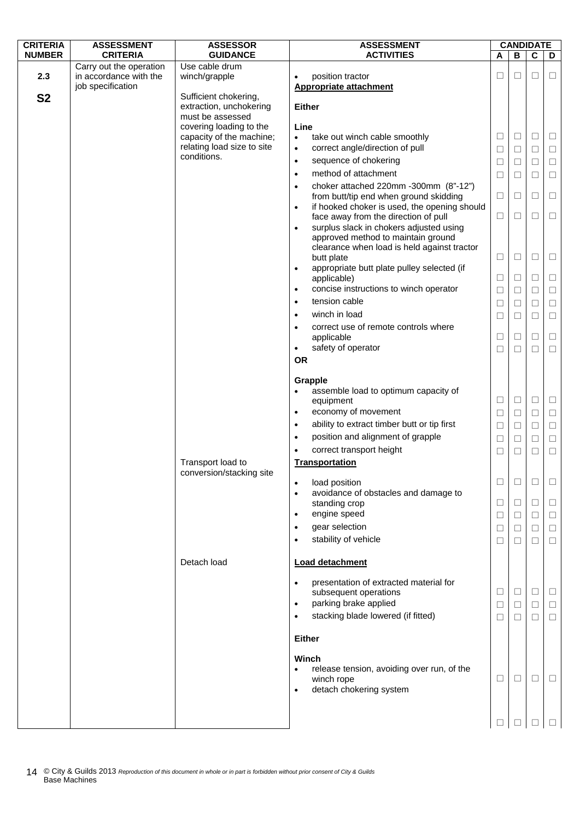| <b>CRITERIA</b> | <b>ASSESSMENT</b>       | <b>ASSESSOR</b>            | <b>ASSESSMENT</b>                                               | <b>CANDIDATE</b>  |        |        |        |
|-----------------|-------------------------|----------------------------|-----------------------------------------------------------------|-------------------|--------|--------|--------|
| <b>NUMBER</b>   | <b>CRITERIA</b>         | <b>GUIDANCE</b>            | <b>ACTIVITIES</b>                                               | A                 | В      | C      | D      |
|                 | Carry out the operation | Use cable drum             |                                                                 |                   |        |        |        |
| 2.3             | in accordance with the  | winch/grapple              | position tractor<br>$\bullet$                                   | □                 | □      | □      | □      |
|                 | job specification       | Sufficient chokering,      | <b>Appropriate attachment</b>                                   |                   |        |        |        |
| <b>S2</b>       |                         | extraction, unchokering    | <b>Either</b>                                                   |                   |        |        |        |
|                 |                         | must be assessed           |                                                                 |                   |        |        |        |
|                 |                         | covering loading to the    | Line                                                            |                   |        |        |        |
|                 |                         | capacity of the machine;   | take out winch cable smoothly<br>$\bullet$                      | ⊔                 | $\Box$ | Ц      | Ц      |
|                 |                         | relating load size to site | correct angle/direction of pull<br>$\bullet$                    | $\Box$            | $\Box$ | $\Box$ | $\Box$ |
|                 |                         | conditions.                | sequence of chokering<br>$\bullet$                              | □                 | $\Box$ | $\Box$ | $\Box$ |
|                 |                         |                            | method of attachment<br>$\bullet$                               | $\Box$            | $\Box$ | $\Box$ | $\Box$ |
|                 |                         |                            | choker attached 220mm -300mm (8"-12")<br>$\bullet$              |                   |        |        |        |
|                 |                         |                            | from butt/tip end when ground skidding                          | $\Box$            | $\Box$ | $\Box$ | $\Box$ |
|                 |                         |                            | if hooked choker is used, the opening should<br>$\bullet$       |                   |        |        |        |
|                 |                         |                            | face away from the direction of pull                            | $\Box$            | $\Box$ | $\Box$ | $\Box$ |
|                 |                         |                            | surplus slack in chokers adjusted using<br>$\bullet$            |                   |        |        |        |
|                 |                         |                            | approved method to maintain ground                              |                   |        |        |        |
|                 |                         |                            | clearance when load is held against tractor                     | $\Box$            | $\Box$ | $\Box$ | $\Box$ |
|                 |                         |                            | butt plate<br>appropriate butt plate pulley selected (if        |                   |        |        |        |
|                 |                         |                            | $\bullet$<br>applicable)                                        | □                 | $\Box$ | $\Box$ | $\Box$ |
|                 |                         |                            | concise instructions to winch operator<br>$\bullet$             | □                 | □      | □      | $\Box$ |
|                 |                         |                            | tension cable<br>$\bullet$                                      |                   |        |        |        |
|                 |                         |                            | winch in load                                                   | $\Box$            | $\Box$ | $\Box$ | $\Box$ |
|                 |                         |                            | $\bullet$                                                       | $\Box$            | $\Box$ | $\Box$ | $\Box$ |
|                 |                         |                            | correct use of remote controls where<br>$\bullet$<br>applicable | ⊔                 | $\Box$ | □      | $\Box$ |
|                 |                         |                            | safety of operator<br>$\bullet$                                 |                   |        |        |        |
|                 |                         |                            | <b>OR</b>                                                       | ⊔                 | □      | ⊔      | □      |
|                 |                         |                            |                                                                 |                   |        |        |        |
|                 |                         |                            | Grapple                                                         |                   |        |        |        |
|                 |                         |                            | assemble load to optimum capacity of                            |                   |        |        |        |
|                 |                         |                            | equipment                                                       | $\Box$            | $\Box$ | $\Box$ | $\Box$ |
|                 |                         |                            | economy of movement<br>$\bullet$                                | $\Box$            | $\Box$ | $\Box$ | $\Box$ |
|                 |                         |                            | ability to extract timber butt or tip first<br>$\bullet$        | □                 | $\Box$ | $\Box$ | $\Box$ |
|                 |                         |                            | position and alignment of grapple<br>$\bullet$                  | □                 | $\Box$ | $\Box$ | $\Box$ |
|                 |                         |                            | correct transport height<br>$\bullet$                           | □                 | $\Box$ | □      | $\Box$ |
|                 |                         | Transport load to          | <b>Transportation</b>                                           |                   |        |        |        |
|                 |                         | conversion/stacking site   |                                                                 |                   |        |        |        |
|                 |                         |                            | load position                                                   | □                 | □      | □      | □      |
|                 |                         |                            | avoidance of obstacles and damage to                            |                   |        |        |        |
|                 |                         |                            | standing crop                                                   | ⊔                 | $\Box$ | ⊔      | □      |
|                 |                         |                            | engine speed<br>$\bullet$                                       | ⊔                 | $\Box$ | ⊔      | □      |
|                 |                         |                            | gear selection<br>$\bullet$                                     | $\Box$            | $\Box$ | $\Box$ | $\Box$ |
|                 |                         |                            | stability of vehicle                                            | □                 | $\Box$ | $\Box$ | $\Box$ |
|                 |                         |                            |                                                                 |                   |        |        |        |
|                 |                         | Detach load                | Load detachment                                                 |                   |        |        |        |
|                 |                         |                            |                                                                 |                   |        |        |        |
|                 |                         |                            | presentation of extracted material for                          |                   |        |        |        |
|                 |                         |                            | subsequent operations                                           | □                 | $\Box$ | $\Box$ | $\Box$ |
|                 |                         |                            | parking brake applied<br>$\bullet$                              | $\Box$            | $\Box$ | $\Box$ | $\Box$ |
|                 |                         |                            | stacking blade lowered (if fitted)                              | □                 | $\Box$ | $\Box$ | □      |
|                 |                         |                            |                                                                 |                   |        |        |        |
|                 |                         |                            | <b>Either</b>                                                   |                   |        |        |        |
|                 |                         |                            | Winch                                                           |                   |        |        |        |
|                 |                         |                            | release tension, avoiding over run, of the                      |                   |        |        |        |
|                 |                         |                            | winch rope                                                      | □                 | □      | □      | □      |
|                 |                         |                            | detach chokering system<br>$\bullet$                            |                   |        |        |        |
|                 |                         |                            |                                                                 |                   |        |        |        |
|                 |                         |                            |                                                                 |                   |        |        |        |
|                 |                         |                            |                                                                 | $\vert \ \ \vert$ |        |        |        |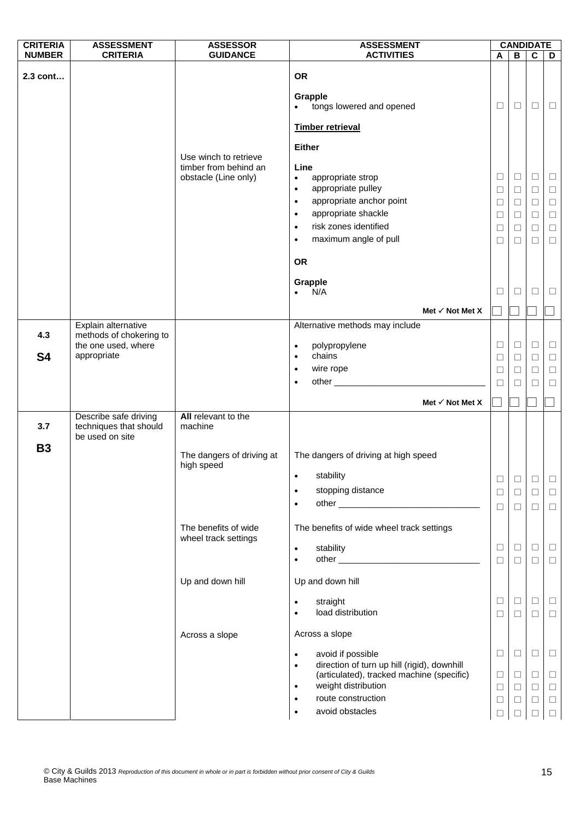| <b>CRITERIA</b> | <b>ASSESSMENT</b>                              | <b>ASSESSOR</b>                               | <b>ASSESSMENT</b>                                                                                                                                                                                                                               | <b>CANDIDATE</b>                                         |                                                          |                                                          |                                                          |
|-----------------|------------------------------------------------|-----------------------------------------------|-------------------------------------------------------------------------------------------------------------------------------------------------------------------------------------------------------------------------------------------------|----------------------------------------------------------|----------------------------------------------------------|----------------------------------------------------------|----------------------------------------------------------|
| <b>NUMBER</b>   | <b>CRITERIA</b>                                | <b>GUIDANCE</b>                               | <b>ACTIVITIES</b>                                                                                                                                                                                                                               | A                                                        | В                                                        | C                                                        | D                                                        |
| 2.3 cont        |                                                | Use winch to retrieve                         | <b>OR</b><br>Grapple<br>• tongs lowered and opened<br><b>Timber retrieval</b><br><b>Either</b>                                                                                                                                                  | $\Box$                                                   | $\Box$                                                   | $\Box$                                                   | $\Box$                                                   |
|                 |                                                | timber from behind an<br>obstacle (Line only) | Line<br>appropriate strop<br>$\bullet$<br>appropriate pulley<br>$\bullet$<br>appropriate anchor point<br>$\bullet$<br>appropriate shackle<br>$\bullet$<br>risk zones identified<br>$\bullet$<br>maximum angle of pull<br>$\bullet$<br><b>OR</b> | $\Box$<br>$\Box$<br>$\Box$<br>$\Box$<br>$\Box$<br>$\Box$ | $\Box$<br>$\Box$<br>$\Box$<br>$\Box$<br>$\Box$<br>$\Box$ | $\Box$<br>$\Box$<br>$\Box$<br>$\Box$<br>$\Box$<br>$\Box$ | $\Box$<br>$\Box$<br>$\Box$<br>$\Box$<br>$\Box$<br>$\Box$ |
|                 |                                                |                                               | Grapple<br>$\bullet$ N/A                                                                                                                                                                                                                        | $\Box$                                                   | $\Box$                                                   | $\Box$                                                   | $\Box$                                                   |
|                 |                                                |                                               | Met $\checkmark$ Not Met X                                                                                                                                                                                                                      |                                                          |                                                          |                                                          |                                                          |
| 4.3             | Explain alternative<br>methods of chokering to |                                               | Alternative methods may include                                                                                                                                                                                                                 |                                                          |                                                          |                                                          |                                                          |
|                 | the one used, where                            |                                               | polypropylene<br>$\bullet$                                                                                                                                                                                                                      | $\Box$                                                   | $\Box$                                                   | $\Box$                                                   | $\Box$                                                   |
| <b>S4</b>       | appropriate                                    |                                               | chains<br>$\bullet$<br>wire rope<br>$\bullet$                                                                                                                                                                                                   | $\Box$<br>$\Box$                                         | $\Box$<br>$\Box$                                         | $\Box$<br>$\Box$                                         | $\Box$<br>$\Box$                                         |
|                 |                                                |                                               | $\bullet$                                                                                                                                                                                                                                       | □                                                        | □                                                        | □                                                        | $\Box$                                                   |
|                 |                                                |                                               |                                                                                                                                                                                                                                                 |                                                          |                                                          |                                                          |                                                          |
|                 | Describe safe driving                          | All relevant to the                           | Met $\checkmark$ Not Met X                                                                                                                                                                                                                      |                                                          |                                                          |                                                          |                                                          |
| 3.7             | techniques that should                         | machine                                       |                                                                                                                                                                                                                                                 |                                                          |                                                          |                                                          |                                                          |
| <b>B3</b>       | be used on site                                |                                               |                                                                                                                                                                                                                                                 |                                                          |                                                          |                                                          |                                                          |
|                 |                                                | The dangers of driving at<br>high speed       | The dangers of driving at high speed                                                                                                                                                                                                            |                                                          |                                                          |                                                          |                                                          |
|                 |                                                |                                               | stability                                                                                                                                                                                                                                       | ⊔                                                        | $\Box$                                                   | □                                                        | $\Box$                                                   |
|                 |                                                |                                               | stopping distance<br>$\bullet$                                                                                                                                                                                                                  | $\Box$                                                   | $\Box$                                                   | $\Box$                                                   | $\Box$                                                   |
|                 |                                                |                                               | $\bullet$                                                                                                                                                                                                                                       | $\Box$                                                   | $\Box$                                                   | $\Box$                                                   | $\Box$                                                   |
|                 |                                                | The benefits of wide                          | The benefits of wide wheel track settings                                                                                                                                                                                                       |                                                          |                                                          |                                                          |                                                          |
|                 |                                                | wheel track settings                          | stability<br>$\bullet$                                                                                                                                                                                                                          | $\Box$                                                   | $\Box$                                                   | $\Box$                                                   | $\Box$                                                   |
|                 |                                                |                                               | $\bullet$                                                                                                                                                                                                                                       | $\Box$                                                   | $\Box$                                                   | $\Box$                                                   | $\Box$                                                   |
|                 |                                                | Up and down hill                              | Up and down hill                                                                                                                                                                                                                                |                                                          |                                                          |                                                          |                                                          |
|                 |                                                |                                               | straight<br>$\bullet$                                                                                                                                                                                                                           | $\Box$                                                   | $\Box$                                                   | $\Box$                                                   | $\Box$                                                   |
|                 |                                                |                                               | load distribution<br>$\bullet$                                                                                                                                                                                                                  | $\Box$                                                   | $\Box$                                                   | $\Box$                                                   | $\Box$                                                   |
|                 |                                                | Across a slope                                | Across a slope                                                                                                                                                                                                                                  |                                                          |                                                          |                                                          |                                                          |
|                 |                                                |                                               | avoid if possible<br>$\bullet$                                                                                                                                                                                                                  | $\Box$                                                   | $\Box$                                                   | $\Box$                                                   | $\Box$                                                   |
|                 |                                                |                                               | direction of turn up hill (rigid), downhill<br>$\bullet$<br>(articulated), tracked machine (specific)                                                                                                                                           | $\Box$                                                   | $\Box$                                                   | $\Box$                                                   | $\Box$                                                   |
|                 |                                                |                                               | weight distribution<br>$\bullet$                                                                                                                                                                                                                | $\Box$                                                   | $\Box$                                                   | $\Box$                                                   | $\Box$                                                   |
|                 |                                                |                                               | route construction<br>$\bullet$                                                                                                                                                                                                                 | $\Box$                                                   | ⊔                                                        | $\Box$                                                   | $\Box$                                                   |
|                 |                                                |                                               | avoid obstacles<br>$\bullet$                                                                                                                                                                                                                    | П                                                        |                                                          | П                                                        | $\Box$                                                   |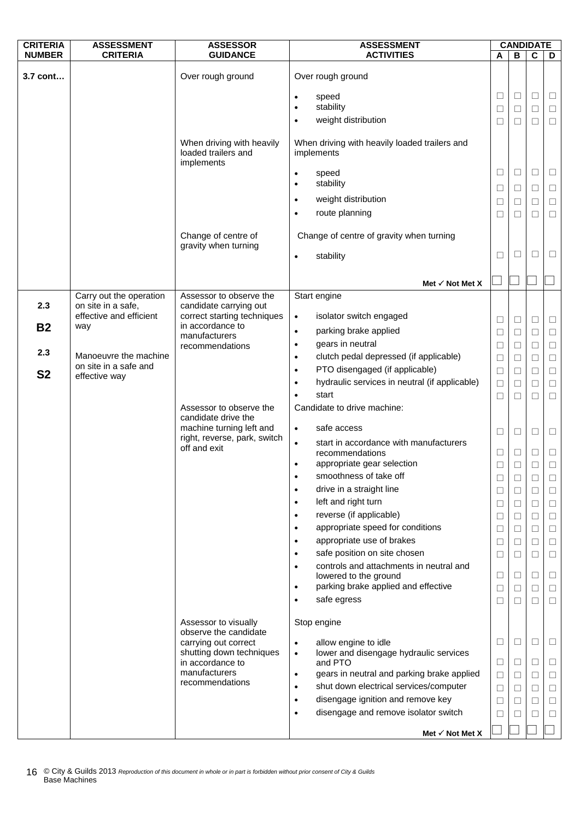| <b>CRITERIA</b> | <b>ASSESSMENT</b>                             | <b>ASSESSOR</b>                                                | <b>ASSESSMENT</b>                                                                        | <b>CANDIDATE</b> |        |             |        |  |
|-----------------|-----------------------------------------------|----------------------------------------------------------------|------------------------------------------------------------------------------------------|------------------|--------|-------------|--------|--|
| <b>NUMBER</b>   | <b>CRITERIA</b>                               | <b>GUIDANCE</b>                                                | <b>ACTIVITIES</b>                                                                        | A                | B      | C           | D      |  |
| 3.7 cont        |                                               | Over rough ground                                              | Over rough ground                                                                        |                  |        |             |        |  |
|                 |                                               |                                                                | speed<br>$\bullet$                                                                       | □                | $\Box$ | $\Box$      | $\Box$ |  |
|                 |                                               |                                                                | stability<br>$\bullet$                                                                   | $\Box$           | $\Box$ | $\Box$      | $\Box$ |  |
|                 |                                               |                                                                | weight distribution<br>$\bullet$                                                         | $\Box$           | $\Box$ | $\Box$      | $\Box$ |  |
|                 |                                               | When driving with heavily<br>loaded trailers and<br>implements | When driving with heavily loaded trailers and<br>implements                              |                  |        |             |        |  |
|                 |                                               |                                                                | speed<br>$\bullet$<br>stability<br>٠                                                     | □                | $\Box$ | $\Box$      | $\Box$ |  |
|                 |                                               |                                                                | weight distribution<br>$\bullet$                                                         | $\Box$           | □      | $\Box$      | $\Box$ |  |
|                 |                                               |                                                                | route planning<br>$\bullet$                                                              | $\Box$           | $\Box$ | □           | $\Box$ |  |
|                 |                                               |                                                                |                                                                                          | $\Box$           | $\Box$ | $\Box$      | $\Box$ |  |
|                 |                                               | Change of centre of<br>gravity when turning                    | Change of centre of gravity when turning                                                 |                  |        |             |        |  |
|                 |                                               |                                                                | stability<br>$\bullet$                                                                   | □                | □      | □           | $\Box$ |  |
|                 |                                               |                                                                |                                                                                          |                  |        |             |        |  |
|                 |                                               |                                                                | Met $\checkmark$ Not Met X                                                               |                  |        |             |        |  |
| 2.3             | Carry out the operation<br>on site in a safe, | Assessor to observe the<br>candidate carrying out              | Start engine                                                                             |                  |        |             |        |  |
|                 | effective and efficient                       | correct starting techniques                                    | isolator switch engaged<br>$\bullet$                                                     | $\Box$           | $\Box$ | $\Box$      | $\Box$ |  |
| <b>B2</b>       | way                                           | in accordance to                                               | parking brake applied<br>$\bullet$                                                       | $\Box$           | $\Box$ | $\Box$      | $\Box$ |  |
|                 |                                               | manufacturers<br>recommendations                               | gears in neutral<br>$\bullet$                                                            | ⊔                | $\Box$ | □           | $\Box$ |  |
| 2.3             | Manoeuvre the machine                         |                                                                | clutch pedal depressed (if applicable)<br>$\bullet$                                      | $\Box$           | $\Box$ | $\Box$      | $\Box$ |  |
| <b>S2</b>       | on site in a safe and                         |                                                                | PTO disengaged (if applicable)<br>$\bullet$                                              | $\Box$           | $\Box$ | П           | $\Box$ |  |
|                 | effective way                                 |                                                                | hydraulic services in neutral (if applicable)<br>$\bullet$                               | $\Box$           | $\Box$ | $\Box$      | $\Box$ |  |
|                 |                                               |                                                                | start                                                                                    | $\Box$           | $\Box$ | П           | $\Box$ |  |
|                 |                                               | Assessor to observe the                                        | Candidate to drive machine:                                                              |                  |        |             |        |  |
|                 |                                               | candidate drive the<br>machine turning left and                | safe access<br>$\bullet$                                                                 | $\Box$           | $\Box$ | $\Box$      | $\Box$ |  |
|                 |                                               | right, reverse, park, switch<br>off and exit                   | start in accordance with manufacturers<br>$\bullet$<br>recommendations                   | $\Box$           | □      | □           | $\Box$ |  |
|                 |                                               |                                                                | appropriate gear selection<br>$\bullet$                                                  | ⊔                | ⊔      | П           | $\Box$ |  |
|                 |                                               |                                                                | smoothness of take off<br>$\bullet$                                                      |                  |        |             |        |  |
|                 |                                               |                                                                | drive in a straight line<br>$\bullet$                                                    | □                | $\Box$ | П           | П      |  |
|                 |                                               |                                                                | left and right turn<br>$\bullet$                                                         | $\Box$           | $\Box$ | $\Box$      | $\Box$ |  |
|                 |                                               |                                                                | reverse (if applicable)<br>$\bullet$                                                     | $\Box$           | $\Box$ | $\Box$      | $\Box$ |  |
|                 |                                               |                                                                | appropriate speed for conditions<br>$\bullet$                                            | $\Box$           | □      | □           | $\Box$ |  |
|                 |                                               |                                                                | appropriate use of brakes<br>$\bullet$                                                   | $\Box$           | $\Box$ | $\Box$      | $\Box$ |  |
|                 |                                               |                                                                | safe position on site chosen<br>$\bullet$                                                | $\Box$           | □      | □           | $\Box$ |  |
|                 |                                               |                                                                | controls and attachments in neutral and<br>$\bullet$                                     |                  |        |             | $\Box$ |  |
|                 |                                               |                                                                | lowered to the ground<br>parking brake applied and effective<br>$\bullet$                | ⊔<br>$\Box$      | □<br>□ | □<br>$\Box$ | $\Box$ |  |
|                 |                                               |                                                                | safe egress<br>$\bullet$                                                                 | $\Box$           | $\Box$ | $\Box$      | $\Box$ |  |
|                 |                                               |                                                                |                                                                                          |                  |        |             |        |  |
|                 |                                               | Assessor to visually<br>observe the candidate                  | Stop engine                                                                              |                  |        |             |        |  |
|                 |                                               | carrying out correct<br>shutting down techniques               | allow engine to idle<br>$\bullet$<br>lower and disengage hydraulic services<br>$\bullet$ | □                | $\Box$ | $\Box$      | $\Box$ |  |
|                 |                                               | in accordance to                                               | and PTO                                                                                  | $\Box$           | $\Box$ | $\Box$      | $\Box$ |  |
|                 |                                               | manufacturers<br>recommendations                               | gears in neutral and parking brake applied<br>$\bullet$                                  | $\Box$           | □      | □           | $\Box$ |  |
|                 |                                               |                                                                | shut down electrical services/computer<br>$\bullet$                                      | $\Box$           | $\Box$ | $\Box$      | $\Box$ |  |
|                 |                                               |                                                                | disengage ignition and remove key<br>$\bullet$                                           | $\Box$           | □      | □           | $\Box$ |  |
|                 |                                               |                                                                | disengage and remove isolator switch<br>$\bullet$                                        | $\Box$           | □      | $\Box$      | $\Box$ |  |
|                 |                                               |                                                                | Met $\checkmark$ Not Met X                                                               |                  |        |             |        |  |